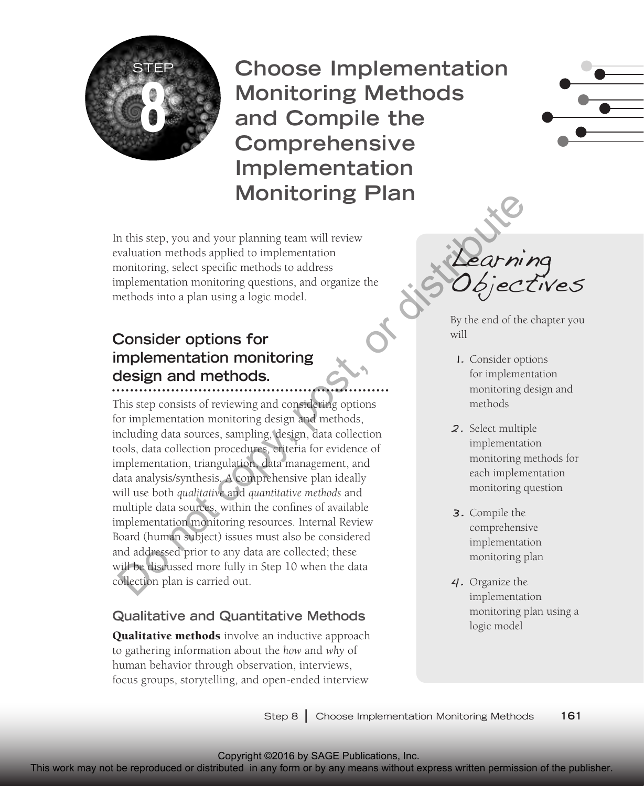

**Choose Implementation Monitoring Methods and Compile the Comprehensive Implementation Monitoring Plan**

In this step, you and your planning team will review evaluation methods applied to implementation monitoring, select specific methods to address implementation monitoring questions, and organize the methods into a plan using a logic model.

# **Consider options for implementation monitoring design and methods.**

This step consists of reviewing and considering options for implementation monitoring design and methods, including data sources, sampling, design, data collection tools, data collection procedures, criteria for evidence of implementation, triangulation, data management, and data analysis/synthesis. A comprehensive plan ideally will use both *qualitative* and *quantitative methods* and multiple data sources, within the confines of available implementation monitoring resources. Internal Review Board (human subject) issues must also be considered and addressed prior to any data are collected; these will be discussed more fully in Step 10 when the data collection plan is carried out. THIS INTERNATION INTERNATION<br>
Considered are principal to might means with the reproduced in any form or between the considered in any form or by any means without express the publisher. Consider or publishers and complem

## **Qualitative and Quantitative Methods**

**Qualitative methods** involve an inductive approach to gathering information about the *how* and *why* of human behavior through observation, interviews, focus groups, storytelling, and open-ended interview

By the end of the chapter you will

Objectives

Learning

- 1. Consider options for implementation monitoring design and methods
- 2. Select multiple implementation monitoring methods for each implementation monitoring question
- 3. Compile the comprehensive implementation monitoring plan
- 4. Organize the implementation monitoring plan using a logic model

Step 8 **|** Choose Implementation Monitoring Methods **161**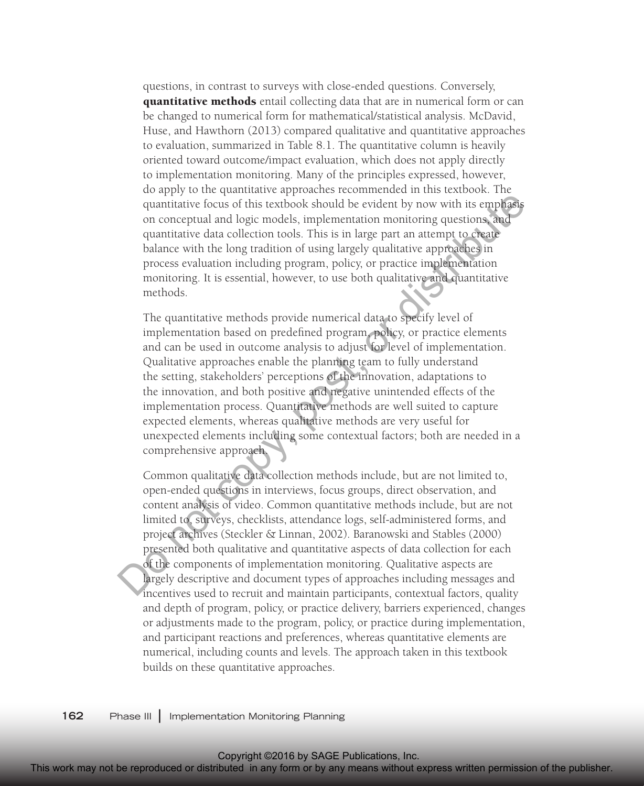questions, in contrast to surveys with close-ended questions. Conversely, quantitative methods entail collecting data that are in numerical form or can be changed to numerical form for mathematical/statistical analysis. McDavid, Huse, and Hawthorn (2013) compared qualitative and quantitative approaches to evaluation, summarized in Table 8.1. The quantitative column is heavily oriented toward outcome/impact evaluation, which does not apply directly to implementation monitoring. Many of the principles expressed, however, do apply to the quantitative approaches recommended in this textbook. The quantitative focus of this textbook should be evident by now with its emphasis on conceptual and logic models, implementation monitoring questions, and quantitative data collection tools. This is in large part an attempt to create balance with the long tradition of using largely qualitative approaches in process evaluation including program, policy, or practice implementation monitoring. It is essential, however, to use both qualitative and quantitative methods.

The quantitative methods provide numerical data to specify level of implementation based on predefined program, policy, or practice elements and can be used in outcome analysis to adjust for level of implementation. Qualitative approaches enable the planning team to fully understand the setting, stakeholders' perceptions of the innovation, adaptations to the innovation, and both positive and negative unintended effects of the implementation process. Quantitative methods are well suited to capture expected elements, whereas qualitative methods are very useful for unexpected elements including some contextual factors; both are needed in a comprehensive approach.

Common qualitative data collection methods include, but are not limited to, open-ended questions in interviews, focus groups, direct observation, and content analysis of video. Common quantitative methods include, but are not limited to, surveys, checklists, attendance logs, self-administered forms, and project archives (Steckler & Linnan, 2002). Baranowski and Stables (2000) presented both qualitative and quantitative aspects of data collection for each of the components of implementation monitoring. Qualitative aspects are largely descriptive and document types of approaches including messages and incentives used to recruit and maintain participants, contextual factors, quality and depth of program, policy, or practice delivery, barriers experienced, changes or adjustments made to the program, policy, or practice during implementation, and participant reactions and preferences, whereas quantitative elements are numerical, including counts and levels. The approach taken in this textbook builds on these quantitative approaches. contributed is encoded or the results of the relation of the relation of the relation of the reproduced or distributed in any form  $\mu$  means without express were also to be relation to the relation to the relation of the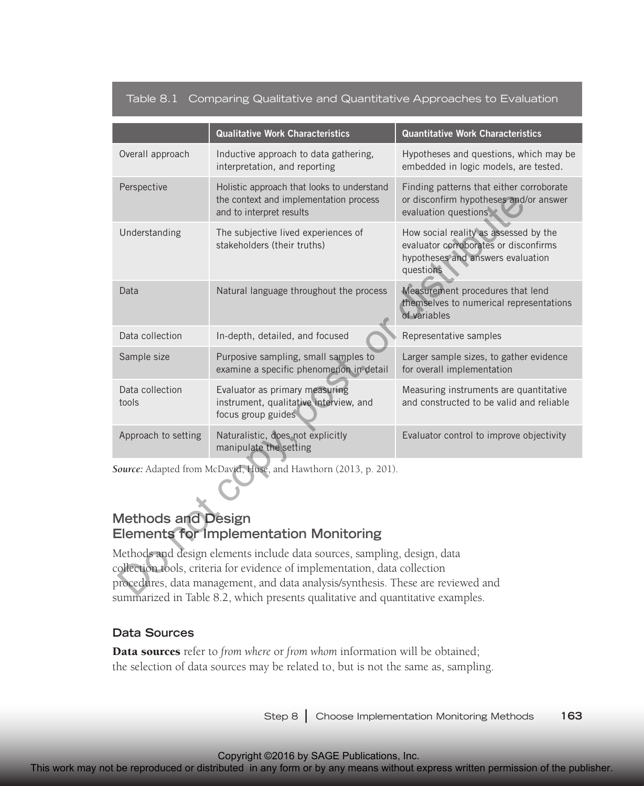### Table 8.1 Comparing Qualitative and Quantitative Approaches to Evaluation

|                           | <b>Qualitative Work Characteristics</b>                                                                                                                                                                                                                                                                                                                                                                                                           | <b>Quantitative Work Characteristics</b>                                                                                         |
|---------------------------|---------------------------------------------------------------------------------------------------------------------------------------------------------------------------------------------------------------------------------------------------------------------------------------------------------------------------------------------------------------------------------------------------------------------------------------------------|----------------------------------------------------------------------------------------------------------------------------------|
| Overall approach          | Inductive approach to data gathering,<br>interpretation, and reporting                                                                                                                                                                                                                                                                                                                                                                            | Hypotheses and questions, which may be<br>embedded in logic models, are tested.                                                  |
| Perspective               | Holistic approach that looks to understand<br>the context and implementation process<br>and to interpret results                                                                                                                                                                                                                                                                                                                                  | Finding patterns that either corroborate<br>or disconfirm hypotheses and/or answer<br>evaluation questions                       |
| Understanding             | The subjective lived experiences of<br>stakeholders (their truths)                                                                                                                                                                                                                                                                                                                                                                                | How social reality as assessed by the<br>evaluator corroborates or disconfirms<br>hypotheses and answers evaluation<br>questions |
| Data                      | Natural language throughout the process                                                                                                                                                                                                                                                                                                                                                                                                           | Measurement procedures that lend<br>themselves to numerical representations<br>of variables                                      |
| Data collection           | In-depth, detailed, and focused                                                                                                                                                                                                                                                                                                                                                                                                                   | Representative samples                                                                                                           |
| Sample size               | Purposive sampling, small samples to<br>examine a specific phenomenon in detail                                                                                                                                                                                                                                                                                                                                                                   | Larger sample sizes, to gather evidence<br>for overall implementation                                                            |
| Data collection<br>tools  | Evaluator as primary measuring<br>instrument, qualitative interview, and<br>focus group guides                                                                                                                                                                                                                                                                                                                                                    | Measuring instruments are quantitative<br>and constructed to be valid and reliable                                               |
| Approach to setting       | Naturalistic, does not explicitly<br>manipulate the setting                                                                                                                                                                                                                                                                                                                                                                                       | Evaluator control to improve objectivity                                                                                         |
| <b>Methods and Design</b> | Source: Adapted from McDavid, Huse, and Hawthorn (2013, p. 201).<br><b>Elements for Implementation Monitoring</b><br>Methods and design elements include data sources, sampling, design, data<br>collection tools, criteria for evidence of implementation, data collection<br>procedures, data management, and data analysis/synthesis. These are reviewed and<br>summarized in Table 8.2, which presents qualitative and quantitative examples. |                                                                                                                                  |
| <b>Data Sources</b>       |                                                                                                                                                                                                                                                                                                                                                                                                                                                   |                                                                                                                                  |
|                           | <b>Data sources</b> refer to from where or from whom information will be obtained;<br>the selection of data sources may be related to, but is not the same as, sampling.                                                                                                                                                                                                                                                                          |                                                                                                                                  |
|                           |                                                                                                                                                                                                                                                                                                                                                                                                                                                   | Step 8   Choose Implementation Monitoring Methods<br>163                                                                         |
|                           | Copyright ©2016 by SAGE Publications, Inc.                                                                                                                                                                                                                                                                                                                                                                                                        | This work may not be reproduced or distributed in any form or by any means without express written permission of the publisher.  |

## **Methods and Design Elements for Implementation Monitoring**

## **Data Sources**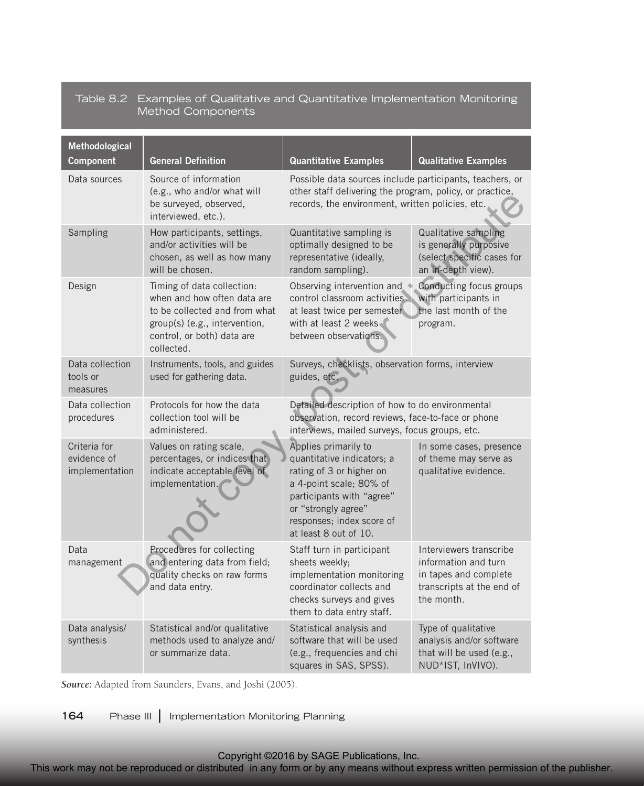| Methodological<br>Component                   | <b>General Definition</b>                                                                                                                                               | <b>Quantitative Examples</b>                                                                                                                                                                                        | <b>Qualitative Examples</b>                                                                                         |  |
|-----------------------------------------------|-------------------------------------------------------------------------------------------------------------------------------------------------------------------------|---------------------------------------------------------------------------------------------------------------------------------------------------------------------------------------------------------------------|---------------------------------------------------------------------------------------------------------------------|--|
| Data sources                                  | Source of information<br>(e.g., who and/or what will<br>be surveyed, observed,<br>interviewed, etc.).                                                                   | Possible data sources include participants, teachers, or<br>other staff delivering the program, policy, or practice,<br>records, the environment, written policies, etc.                                            |                                                                                                                     |  |
| Sampling                                      | How participants, settings,<br>and/or activities will be<br>chosen, as well as how many<br>will be chosen.                                                              | Quantitative sampling is<br>optimally designed to be<br>representative (ideally,<br>random sampling).                                                                                                               | <b>Qualitative sampling</b><br>is generally purposive<br>(select specific cases for<br>an in-depth view).           |  |
| Design                                        | Timing of data collection:<br>when and how often data are<br>to be collected and from what<br>group(s) (e.g., intervention,<br>control, or both) data are<br>collected. | Observing intervention and<br>control classroom activities<br>at least twice per semester<br>with at least 2 weeks<br>between observations.                                                                         | Conducting focus groups<br>with participants in<br>the last month of the<br>program.                                |  |
| Data collection<br>tools or<br>measures       | Instruments, tools, and guides<br>used for gathering data.                                                                                                              | Surveys, checklists, observation forms, interview<br>guides, etc.                                                                                                                                                   |                                                                                                                     |  |
| Data collection<br>procedures                 | Protocols for how the data<br>collection tool will be<br>administered.                                                                                                  | Detailed description of how to do environmental<br>observation, record reviews, face-to-face or phone<br>interviews, mailed surveys, focus groups, etc.                                                             |                                                                                                                     |  |
| Criteria for<br>evidence of<br>implementation | Values on rating scale,<br>percentages, or indices that<br>indicate acceptable level of<br>implementation.                                                              | Applies primarily to<br>quantitative indicators; a<br>rating of 3 or higher on<br>a 4-point scale; 80% of<br>participants with "agree"<br>or "strongly agree"<br>responses; index score of<br>at least 8 out of 10. | In some cases, presence<br>of theme may serve as<br>qualitative evidence.                                           |  |
| Data<br>management                            | Procedures for collecting<br>and entering data from field;<br>quality checks on raw forms<br>and data entry.                                                            | Staff turn in participant<br>sheets weekly;<br>implementation monitoring<br>coordinator collects and<br>checks surveys and gives<br>them to data entry staff.                                                       | Interviewers transcribe<br>information and turn<br>in tapes and complete<br>transcripts at the end of<br>the month. |  |
| Data analysis/<br>synthesis                   | Statistical and/or qualitative<br>methods used to analyze and/<br>or summarize data.                                                                                    | Statistical analysis and<br>software that will be used<br>(e.g., frequencies and chi<br>squares in SAS, SPSS).                                                                                                      | Type of qualitative<br>analysis and/or software<br>that will be used (e.g.,<br>NUD*IST, InVIVO).                    |  |
|                                               | Source: Adapted from Saunders, Evans, and Joshi (2005).                                                                                                                 |                                                                                                                                                                                                                     |                                                                                                                     |  |
| 164<br>Phase III $\parallel$                  | Implementation Monitoring Planning                                                                                                                                      |                                                                                                                                                                                                                     |                                                                                                                     |  |
|                                               |                                                                                                                                                                         |                                                                                                                                                                                                                     |                                                                                                                     |  |

## Table 8.2 Examples of Qualitative and Quantitative Implementation Monitoring Method Components

## **164** Phase III **|** Implementation Monitoring Planning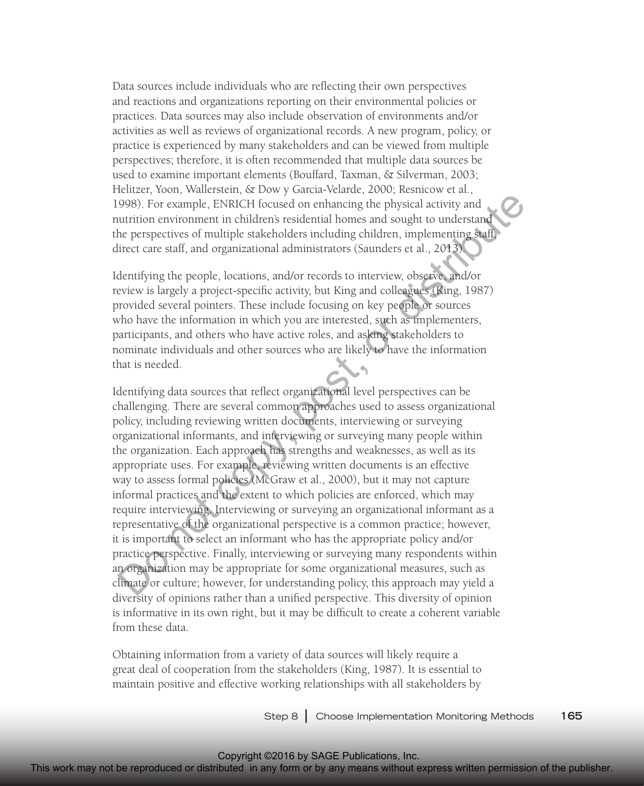Data sources include individuals who are reflecting their own perspectives and reactions and organizations reporting on their environmental policies or practices. Data sources may also include observation of environments and/or activities as well as reviews of organizational records. A new program, policy, or practice is experienced by many stakeholders and can be viewed from multiple perspectives; therefore, it is often recommended that multiple data sources be used to examine important elements (Bouffard, Taxman, & Silverman, 2003; Helitzer, Yoon, Wallerstein, & Dow y Garcia-Velarde, 2000; Resnicow et al., 1998). For example, ENRICH focused on enhancing the physical activity and nutrition environment in children's residential homes and sought to understand the perspectives of multiple stakeholders including children, implementing staff, direct care staff, and organizational administrators (Saunders et al., 2013).

Identifying the people, locations, and/or records to interview, observe, and/or review is largely a project-specific activity, but King and colleagues (King, 1987) provided several pointers. These include focusing on key people or sources who have the information in which you are interested, such as implementers, participants, and others who have active roles, and asking stakeholders to nominate individuals and other sources who are likely to have the information that is needed.

Identifying data sources that reflect organizational level perspectives can be challenging. There are several common approaches used to assess organizational policy, including reviewing written documents, interviewing or surveying organizational informants, and interviewing or surveying many people within the organization. Each approach has strengths and weaknesses, as well as its appropriate uses. For example, reviewing written documents is an effective way to assess formal policies (McGraw et al., 2000), but it may not capture informal practices and the extent to which policies are enforced, which may require interviewing. Interviewing or surveying an organizational informant as a representative of the organizational perspective is a common practice; however, it is important to select an informant who has the appropriate policy and/or practice perspective. Finally, interviewing or surveying many respondents within an organization may be appropriate for some organizational measures, such as climate or culture; however, for understanding policy, this approach may yield a diversity of opinions rather than a unified perspective. This diversity of opinion is informative in its own right, but it may be difficult to create a coherent variable from these data. 1998): the computer may not be reproduced or distributed in any form or between the publisher and the publisher and the publisher in any means with the publisher or between the publisher and the publisher or between the p

Obtaining information from a variety of data sources will likely require a great deal of cooperation from the stakeholders (King, 1987). It is essential to maintain positive and effective working relationships with all stakeholders by

Step 8 **|** Choose Implementation Monitoring Methods **165**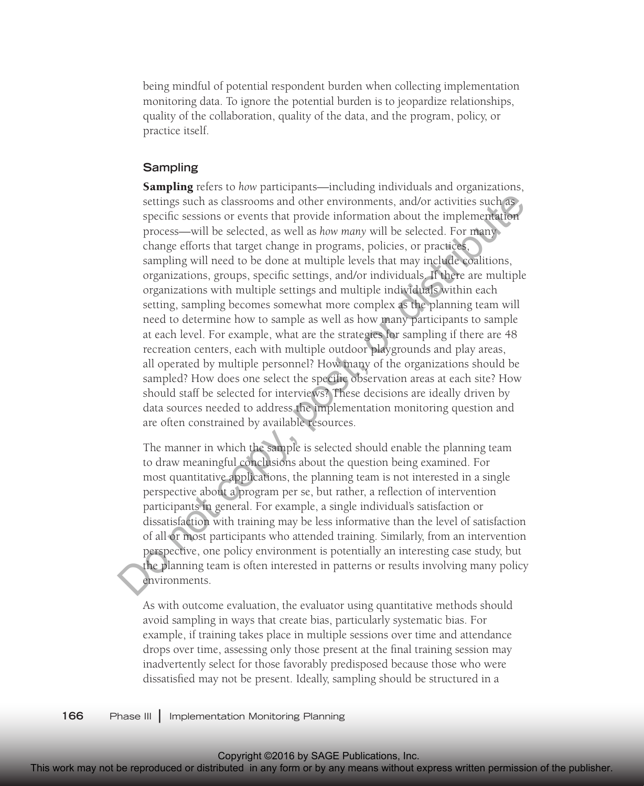being mindful of potential respondent burden when collecting implementation monitoring data. To ignore the potential burden is to jeopardize relationships, quality of the collaboration, quality of the data, and the program, policy, or practice itself.

#### **Sampling**

Sampling refers to *how* participants—including individuals and organizations, settings such as classrooms and other environments, and/or activities such as specific sessions or events that provide information about the implementation process—will be selected, as well as *how many* will be selected. For many change efforts that target change in programs, policies, or practices, sampling will need to be done at multiple levels that may include coalitions, organizations, groups, specific settings, and/or individuals. If there are multiple organizations with multiple settings and multiple individuals within each setting, sampling becomes somewhat more complex as the planning team will need to determine how to sample as well as how many participants to sample at each level. For example, what are the strategies for sampling if there are 48 recreation centers, each with multiple outdoor playgrounds and play areas, all operated by multiple personnel? How many of the organizations should be sampled? How does one select the specific observation areas at each site? How should staff be selected for interviews? These decisions are ideally driven by data sources needed to address the implementation monitoring question and are often constrained by available resources. setting work meaning and the setting may not be restored. For any specific sessions or events that publisher in a solid as how near with be achieved. For may not be achieved. The may not be a stributed in any first publis

The manner in which the sample is selected should enable the planning team to draw meaningful conclusions about the question being examined. For most quantitative applications, the planning team is not interested in a single perspective about a program per se, but rather, a reflection of intervention participants in general. For example, a single individual's satisfaction or dissatisfaction with training may be less informative than the level of satisfaction of all or most participants who attended training. Similarly, from an intervention perspective, one policy environment is potentially an interesting case study, but the planning team is often interested in patterns or results involving many policy environments.

As with outcome evaluation, the evaluator using quantitative methods should avoid sampling in ways that create bias, particularly systematic bias. For example, if training takes place in multiple sessions over time and attendance drops over time, assessing only those present at the final training session may inadvertently select for those favorably predisposed because those who were dissatisfied may not be present. Ideally, sampling should be structured in a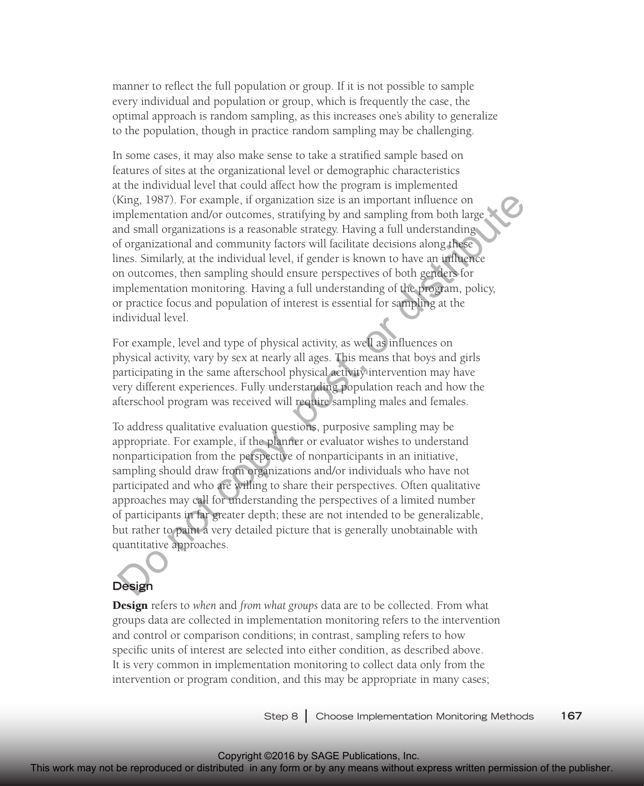manner to reflect the full population or group. If it is not possible to sample every individual and population or group, which is frequently the case, the optimal approach is random sampling, as this increases one's ability to generalize to the population, though in practice random sampling may be challenging.

In some cases, it may also make sense to take a stratified sample based on features of sites at the organizational level or demographic characteristics at the individual level that could affect how the program is implemented (King, 1987). For example, if organization size is an important influence on implementation and/or outcomes, stratifying by and sampling from both large and small organizations is a reasonable strategy. Having a full understanding of organizational and community factors will facilitate decisions along these lines. Similarly, at the individual level, if gender is known to have an influence on outcomes, then sampling should ensure perspectives of both genders for implementation monitoring. Having a full understanding of the program, policy, or practice focus and population of interest is essential for sampling at the individual level. Stern. Using the representation is on the representation between the publishers, the representation is a reasonable stangeng that the publisher stangentialing by any means of small operation is a reasonable stangent throu

For example, level and type of physical activity, as well as influences on physical activity, vary by sex at nearly all ages. This means that boys and girls participating in the same afterschool physical activity intervention may have very different experiences. Fully understanding population reach and how the afterschool program was received will require sampling males and females.

To address qualitative evaluation questions, purposive sampling may be appropriate. For example, if the planner or evaluator wishes to understand nonparticipation from the perspective of nonparticipants in an initiative, sampling should draw from organizations and/or individuals who have not participated and who are willing to share their perspectives. Often qualitative approaches may call for understanding the perspectives of a limited number of participants in far greater depth; these are not intended to be generalizable, but rather to paint a very detailed picture that is generally unobtainable with quantitative approaches.

## **Design**

Design refers to *when* and *from what groups* data are to be collected. From what groups data are collected in implementation monitoring refers to the intervention and control or comparison conditions; in contrast, sampling refers to how specific units of interest are selected into either condition, as described above. It is very common in implementation monitoring to collect data only from the intervention or program condition, and this may be appropriate in many cases;

Step 8 **|** Choose Implementation Monitoring Methods **167**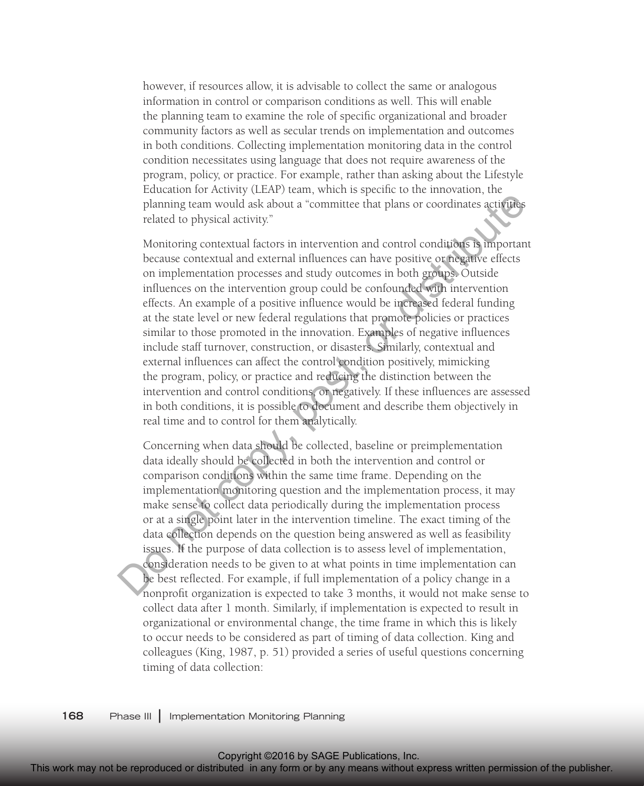however, if resources allow, it is advisable to collect the same or analogous information in control or comparison conditions as well. This will enable the planning team to examine the role of specific organizational and broader community factors as well as secular trends on implementation and outcomes in both conditions. Collecting implementation monitoring data in the control condition necessitates using language that does not require awareness of the program, policy, or practice. For example, rather than asking about the Lifestyle Education for Activity (LEAP) team, which is specific to the innovation, the planning team would ask about a "committee that plans or coordinates activities related to physical activity."

Monitoring contextual factors in intervention and control conditions is important because contextual and external influences can have positive or negative effects on implementation processes and study outcomes in both groups. Outside influences on the intervention group could be confounded with intervention effects. An example of a positive influence would be increased federal funding at the state level or new federal regulations that promote policies or practices similar to those promoted in the innovation. Examples of negative influences include staff turnover, construction, or disasters. Similarly, contextual and external influences can affect the control condition positively, mimicking the program, policy, or practice and reducing the distinction between the intervention and control conditions, or negatively. If these influences are assessed in both conditions, it is possible to document and describe them objectively in real time and to control for them analytically.

Concerning when data should be collected, baseline or preimplementation data ideally should be collected in both the intervention and control or comparison conditions within the same time frame. Depending on the implementation monitoring question and the implementation process, it may make sense to collect data periodically during the implementation process or at a single point later in the intervention timeline. The exact timing of the data collection depends on the question being answered as well as feasibility issues. If the purpose of data collection is to assess level of implementation, consideration needs to be given to at what points in time implementation can be best reflected. For example, if full implementation of a policy change in a nonprofit organization is expected to take 3 months, it would not make sense to collect data after 1 month. Similarly, if implementation is expected to result in organizational or environmental change, the time frame in which this is likely to occur needs to be considered as part of timing of data collection. King and colleagues (King, 1987, p. 51) provided a series of useful questions concerning timing of data collection: planning teams of the reproduced or distributed in any form or by any measure of the reproduced or distributed in any form or any form or by any means we consider the publisher are the publisher and the publisher and the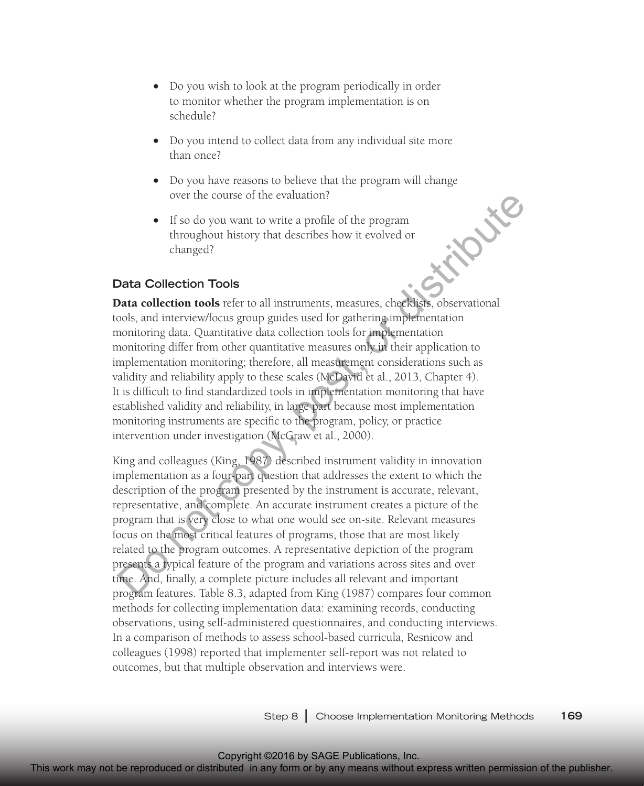- Do you wish to look at the program periodically in order to monitor whether the program implementation is on schedule?
- Do you intend to collect data from any individual site more than once?
- over the course of the evaluation?
- Do you have reasons to believe that the program will change<br>over the course of the evaluation?<br>• If so do you want to write a profile of the program<br>throughout history that describes how it evolved or<br>changed?<br>• Collecti • If so do you want to write a profile of the program throughout history that describes how it evolved or changed?

## **Data Collection Tools**

Data collection tools refer to all instruments, measures, checklists, observational tools, and interview/focus group guides used for gathering implementation monitoring data. Quantitative data collection tools for implementation monitoring differ from other quantitative measures only in their application to implementation monitoring; therefore, all measurement considerations such as validity and reliability apply to these scales (McDavid et al., 2013, Chapter 4). It is difficult to find standardized tools in implementation monitoring that have established validity and reliability, in large part because most implementation monitoring instruments are specific to the program, policy, or practice intervention under investigation (McGraw et al., 2000).

King and colleagues (King, 1987) described instrument validity in innovation implementation as a four-part question that addresses the extent to which the description of the program presented by the instrument is accurate, relevant, representative, and complete. An accurate instrument creates a picture of the program that is very close to what one would see on-site. Relevant measures focus on the most critical features of programs, those that are most likely related to the program outcomes. A representative depiction of the program presents a typical feature of the program and variations across sites and over time. And, finally, a complete picture includes all relevant and important program features. Table 8.3, adapted from King (1987) compares four common methods for collecting implementation data: examining records, conducting observations, using self-administered questionnaires, and conducting interviews. In a comparison of methods to assess school-based curricula, Resnicow and colleagues (1998) reported that implementer self-report was not related to outcomes, but that multiple observation and interviews were. This work may not be reproduced or distributed or distributed in any form or by an any means with the publisher or distribution or  $\mathbf{r}$  to the collection or be reproduced to the publisher of the publisher of the publi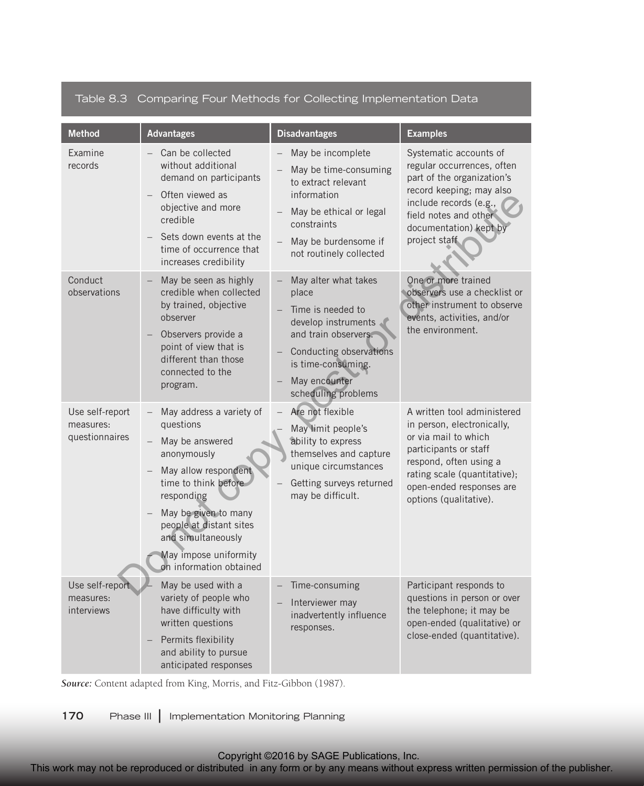## Table 8.3 Comparing Four Methods for Collecting Implementation Data

| <b>Method</b>                                  | <b>Advantages</b>                                                                                                                                                                                                                                                                              | <b>Disadvantages</b>                                                                                                                                                                       | <b>Examples</b>                                                                                                                                                                                                            |
|------------------------------------------------|------------------------------------------------------------------------------------------------------------------------------------------------------------------------------------------------------------------------------------------------------------------------------------------------|--------------------------------------------------------------------------------------------------------------------------------------------------------------------------------------------|----------------------------------------------------------------------------------------------------------------------------------------------------------------------------------------------------------------------------|
| Examine<br>records                             | Can be collected<br>without additional<br>demand on participants<br>Often viewed as<br>objective and more<br>credible<br>Sets down events at the<br>time of occurrence that<br>increases credibility                                                                                           | May be incomplete<br>May be time-consuming<br>to extract relevant<br>information<br>May be ethical or legal<br>constraints<br>May be burdensome if<br>not routinely collected              | Systematic accounts of<br>regular occurrences, often<br>part of the organization's<br>record keeping; may also<br>include records (e.g.,<br>field notes and other<br>documentation) kept by<br>project staff               |
| Conduct<br>observations                        | May be seen as highly<br>credible when collected<br>by trained, objective<br>observer<br>Observers provide a<br>point of view that is<br>different than those<br>connected to the<br>program.                                                                                                  | May alter what takes<br>place<br>Time is needed to<br>develop instruments<br>and train observers.<br>Conducting observations<br>is time-consuming.<br>May encounter<br>scheduling problems | One or more trained<br>observers use a checklist or<br>other instrument to observe<br>events, activities, and/or<br>the environment.                                                                                       |
| Use self-report<br>measures:<br>questionnaires | May address a variety of<br>questions<br>May be answered<br>$\overline{\phantom{a}}$<br>anonymously<br>May allow respondent<br>time to think before<br>responding<br>May be given to many<br>people at distant sites<br>and simultaneously<br>May impose uniformity<br>on information obtained | Are not flexible<br>May limit people's<br>ability to express<br>themselves and capture<br>unique circumstances<br>Getting surveys returned<br>may be difficult.                            | A written tool administered<br>in person, electronically,<br>or via mail to which<br>participants or staff<br>respond, often using a<br>rating scale (quantitative);<br>open-ended responses are<br>options (qualitative). |
| Use self-report<br>measures:<br>interviews     | May be used with a<br>variety of people who<br>have difficulty with<br>written questions<br>Permits flexibility<br>and ability to pursue<br>anticipated responses                                                                                                                              | Time-consuming<br>Interviewer may<br>inadvertently influence<br>responses.                                                                                                                 | Participant responds to<br>questions in person or over<br>the telephone; it may be<br>open-ended (qualitative) or<br>close-ended (quantitative).                                                                           |
|                                                | Source: Content adapted from King, Morris, and Fitz-Gibbon (1987).                                                                                                                                                                                                                             |                                                                                                                                                                                            |                                                                                                                                                                                                                            |
| 170<br>Phase $III$                             | Implementation Monitoring Planning                                                                                                                                                                                                                                                             |                                                                                                                                                                                            |                                                                                                                                                                                                                            |
|                                                |                                                                                                                                                                                                                                                                                                | Copyright ©2016 by SAGE Publications, Inc.                                                                                                                                                 |                                                                                                                                                                                                                            |
|                                                |                                                                                                                                                                                                                                                                                                |                                                                                                                                                                                            | This work may not be reproduced or distributed in any form or by any means without express written permission of the publisher.                                                                                            |

## **170** Phase III **|** Implementation Monitoring Planning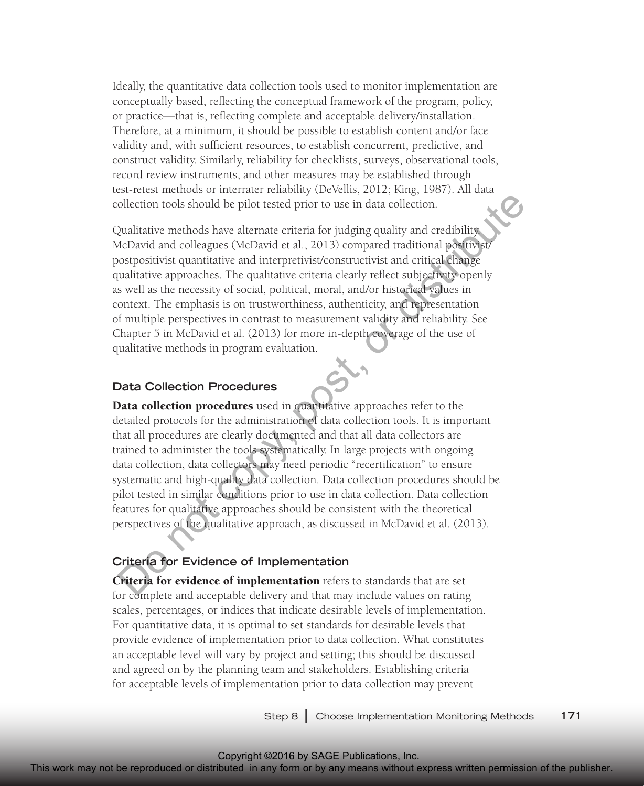Ideally, the quantitative data collection tools used to monitor implementation are conceptually based, reflecting the conceptual framework of the program, policy, or practice—that is, reflecting complete and acceptable delivery/installation. Therefore, at a minimum, it should be possible to establish content and/or face validity and, with sufficient resources, to establish concurrent, predictive, and construct validity. Similarly, reliability for checklists, surveys, observational tools, record review instruments, and other measures may be established through test-retest methods or interrater reliability (DeVellis, 2012; King, 1987). All data collection tools should be pilot tested prior to use in data collection.

Qualitative methods have alternate criteria for judging quality and credibility. McDavid and colleagues (McDavid et al., 2013) compared traditional positivist/ postpositivist quantitative and interpretivist/constructivist and critical change qualitative approaches. The qualitative criteria clearly reflect subjectivity openly as well as the necessity of social, political, moral, and/or historical values in context. The emphasis is on trustworthiness, authenticity, and representation of multiple perspectives in contrast to measurement validity and reliability. See Chapter 5 in McDavid et al. (2013) for more in-depth coverage of the use of qualitative methods in program evaluation.

#### **Data Collection Procedures**

Data collection procedures used in quantitative approaches refer to the detailed protocols for the administration of data collection tools. It is important that all procedures are clearly documented and that all data collectors are trained to administer the tools systematically. In large projects with ongoing data collection, data collectors may need periodic "recertification" to ensure systematic and high-quality data collection. Data collection procedures should be pilot tested in similar conditions prior to use in data collection. Data collection features for qualitative approaches should be consistent with the theoretical perspectives of the qualitative approach, as discussed in McDavid et al. (2013). collection tools should be pilot tested prior to use in duta collection.<br>
Qualitative melhods have also means without expression or continuity<br>
Not have reproduced any means with any independent or distributed in any form

### **Criteria for Evidence of Implementation**

Criteria for evidence of implementation refers to standards that are set for complete and acceptable delivery and that may include values on rating scales, percentages, or indices that indicate desirable levels of implementation. For quantitative data, it is optimal to set standards for desirable levels that provide evidence of implementation prior to data collection. What constitutes an acceptable level will vary by project and setting; this should be discussed and agreed on by the planning team and stakeholders. Establishing criteria for acceptable levels of implementation prior to data collection may prevent

Step 8 **|** Choose Implementation Monitoring Methods **171**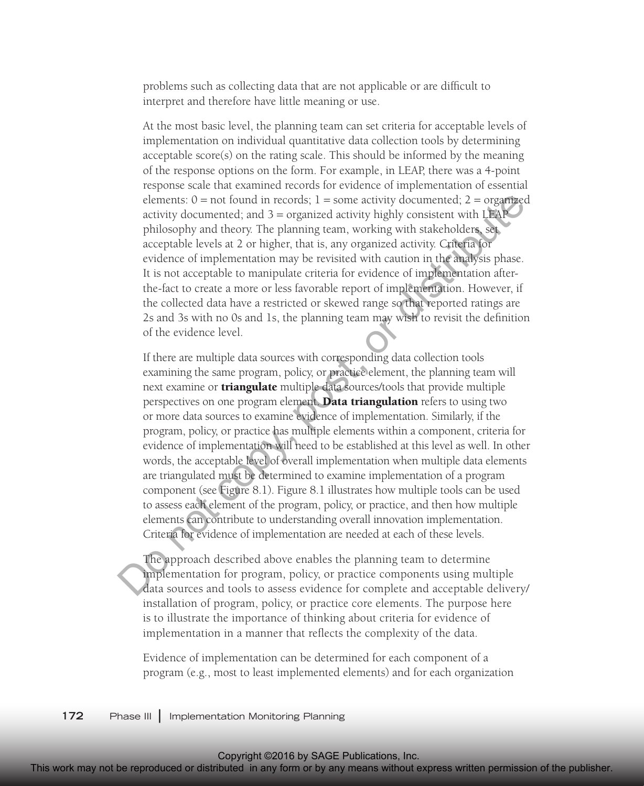problems such as collecting data that are not applicable or are difficult to interpret and therefore have little meaning or use.

At the most basic level, the planning team can set criteria for acceptable levels of implementation on individual quantitative data collection tools by determining acceptable score(s) on the rating scale. This should be informed by the meaning of the response options on the form. For example, in LEAP, there was a 4-point response scale that examined records for evidence of implementation of essential elements:  $0 = not$  found in records;  $1 = some$  activity documented;  $2 = organized$ activity documented; and  $3 =$  organized activity highly consistent with LEAP philosophy and theory. The planning team, working with stakeholders, set acceptable levels at 2 or higher, that is, any organized activity. Criteria for evidence of implementation may be revisited with caution in the analysis phase. It is not acceptable to manipulate criteria for evidence of implementation afterthe-fact to create a more or less favorable report of implementation. However, if the collected data have a restricted or skewed range so that reported ratings are 2s and 3s with no 0s and 1s, the planning team may wish to revisit the definition of the evidence level.

If there are multiple data sources with corresponding data collection tools examining the same program, policy, or practice element, the planning team will next examine or **triangulate** multiple data sources/tools that provide multiple perspectives on one program element. **Data triangulation** refers to using two or more data sources to examine evidence of implementation. Similarly, if the program, policy, or practice has multiple elements within a component, criteria for evidence of implementation will need to be established at this level as well. In other words, the acceptable level of overall implementation when multiple data elements are triangulated must be determined to examine implementation of a program component (see Figure 8.1). Figure 8.1 illustrates how multiple tools can be used to assess each element of the program, policy, or practice, and then how multiple elements can contribute to understanding overall innovation implementation. Criteria for evidence of implementation are needed at each of these levels. elements. Or a computed or distributed or distributed in any form or by any means with  $\frac{1}{2}$  publisher any solution of the publisher and the publisher and the publisher of the publisher. This plane is a complete the p

The approach described above enables the planning team to determine implementation for program, policy, or practice components using multiple data sources and tools to assess evidence for complete and acceptable delivery/ installation of program, policy, or practice core elements. The purpose here is to illustrate the importance of thinking about criteria for evidence of implementation in a manner that reflects the complexity of the data.

Evidence of implementation can be determined for each component of a program (e.g., most to least implemented elements) and for each organization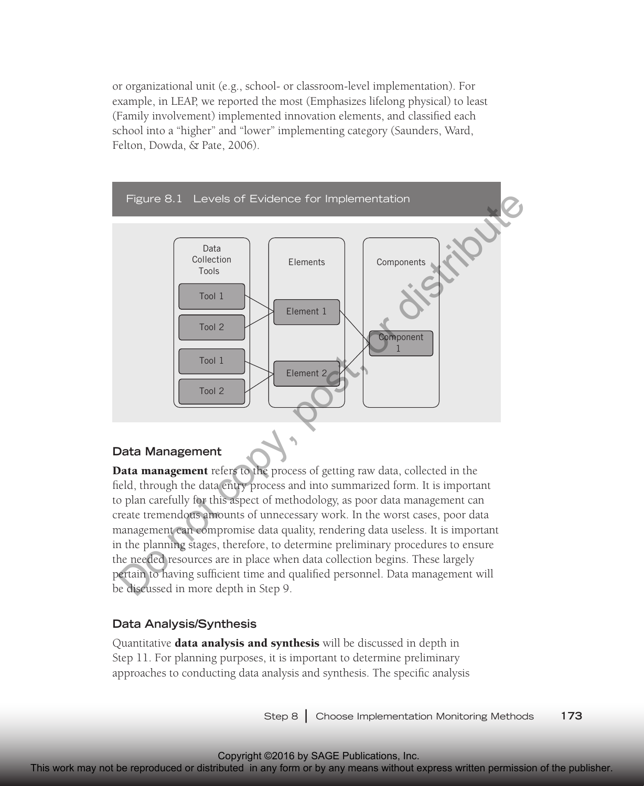or organizational unit (e.g., school- or classroom-level implementation). For example, in LEAP, we reported the most (Emphasizes lifelong physical) to least (Family involvement) implemented innovation elements, and classified each school into a "higher" and "lower" implementing category (Saunders, Ward, Felton, Dowda, & Pate, 2006).



## **Data Management**

Data management refers to the process of getting raw data, collected in the field, through the data entry process and into summarized form. It is important to plan carefully for this aspect of methodology, as poor data management can create tremendous amounts of unnecessary work. In the worst cases, poor data management can compromise data quality, rendering data useless. It is important in the planning stages, therefore, to determine preliminary procedures to ensure the needed resources are in place when data collection begins. These largely pertain to having sufficient time and qualified personnel. Data management will be discussed in more depth in Step 9.

#### **Data Analysis/Synthesis**

Quantitative **data analysis and synthesis** will be discussed in depth in Step 11. For planning purposes, it is important to determine preliminary approaches to conducting data analysis and synthesis. The specific analysis

Step 8 **|** Choose Implementation Monitoring Methods **173**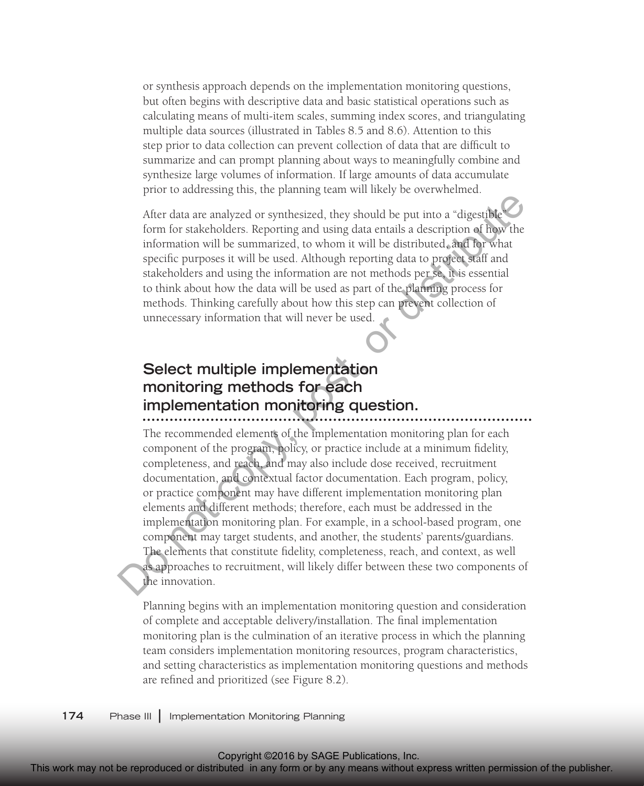or synthesis approach depends on the implementation monitoring questions, but often begins with descriptive data and basic statistical operations such as calculating means of multi-item scales, summing index scores, and triangulating multiple data sources (illustrated in Tables 8.5 and 8.6). Attention to this step prior to data collection can prevent collection of data that are difficult to summarize and can prompt planning about ways to meaningfully combine and synthesize large volumes of information. If large amounts of data accumulate prior to addressing this, the planning team will likely be overwhelmed.

After data are analyzed or synthesized, they should be put into a "digestible" form for stakeholders. Reporting and using data entails a description of how the information will be summarized, to whom it will be distributed, and for what specific purposes it will be used. Although reporting data to project staff and stakeholders and using the information are not methods per se, it is essential to think about how the data will be used as part of the planning process for methods. Thinking carefully about how this step can prevent collection of unnecessary information that will never be used.

# **Select multiple implementation monitoring methods for each implementation monitoring question.**

The recommended elements of the implementation monitoring plan for each component of the program, policy, or practice include at a minimum fidelity, completeness, and reach, and may also include dose received, recruitment documentation, and contextual factor documentation. Each program, policy, or practice component may have different implementation monitoring plan elements and different methods; therefore, each must be addressed in the implementation monitoring plan. For example, in a school-based program, one component may target students, and another, the students' parents/guardians. The elements that constitute fidelity, completeness, reach, and context, as well as approaches to recruitment, will likely differ between these two components of the innovation. First control is a complementation of the reproduced or distributed in any form of the publisher. Although the reproduced in any form or by any the publisher. Secondary of the publisher. Secondary produced in any form or

Planning begins with an implementation monitoring question and consideration of complete and acceptable delivery/installation. The final implementation monitoring plan is the culmination of an iterative process in which the planning team considers implementation monitoring resources, program characteristics, and setting characteristics as implementation monitoring questions and methods are refined and prioritized (see Figure 8.2).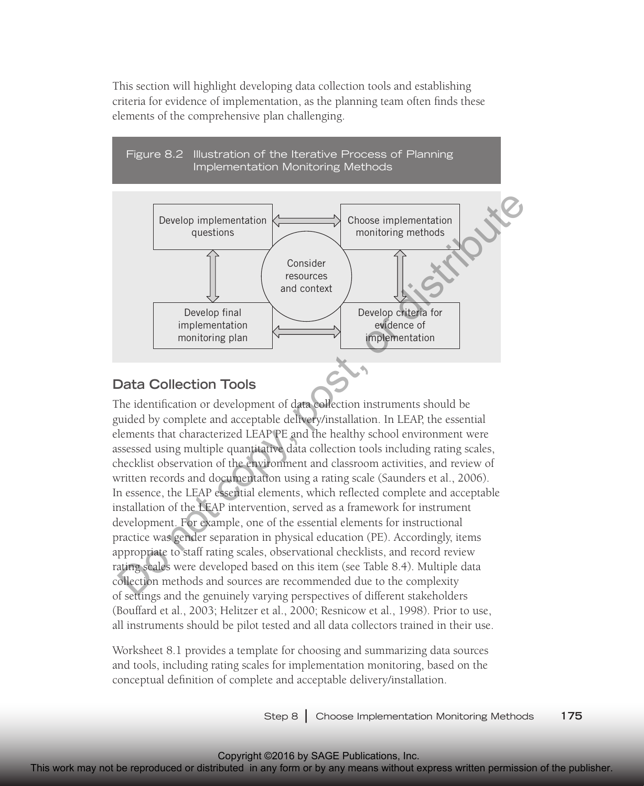This section will highlight developing data collection tools and establishing criteria for evidence of implementation, as the planning team often finds these elements of the comprehensive plan challenging.



## **Data Collection Tools**

The identification or development of data collection instruments should be guided by complete and acceptable delivery/installation. In LEAP, the essential elements that characterized LEAP PE and the healthy school environment were assessed using multiple quantitative data collection tools including rating scales, checklist observation of the environment and classroom activities, and review of written records and documentation using a rating scale (Saunders et al., 2006). In essence, the LEAP essential elements, which reflected complete and acceptable installation of the LEAP intervention, served as a framework for instrument development. For example, one of the essential elements for instructional practice was gender separation in physical education (PE). Accordingly, items appropriate to staff rating scales, observational checklists, and record review rating scales were developed based on this item (see Table 8.4). Multiple data collection methods and sources are recommended due to the complexity of settings and the genuinely varying perspectives of different stakeholders (Bouffard et al., 2003; Helitzer et al., 2000; Resnicow et al., 1998). Prior to use, all instruments should be pilot tested and all data collectors trained in their use. Dhostop implementation (considered in any form or distributed in any form or between the reproduced in any form or be reproduced in any means with consideration (a)  $\frac{1}{2}$  consider the publisher or distributed in a com

Worksheet 8.1 provides a template for choosing and summarizing data sources and tools, including rating scales for implementation monitoring, based on the conceptual definition of complete and acceptable delivery/installation.

Step 8 **|** Choose Implementation Monitoring Methods **175**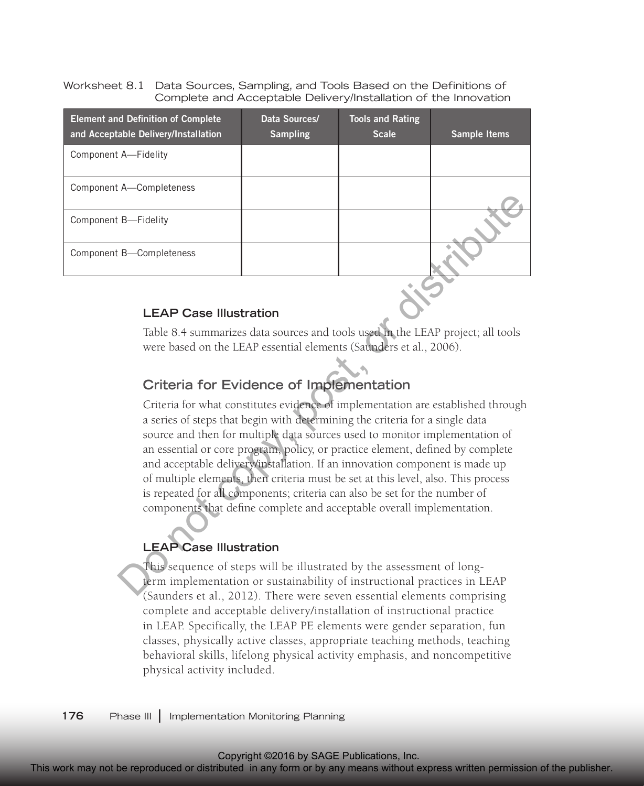Worksheet 8.1 Data Sources, Sampling, and Tools Based on the Definitions of Complete and Acceptable Delivery/Installation of the Innovation

| <b>Element and Definition of Complete</b><br>and Acceptable Delivery/Installation | Data Sources/<br><b>Sampling</b> | <b>Tools and Rating</b><br><b>Scale</b> | <b>Sample Items</b> |
|-----------------------------------------------------------------------------------|----------------------------------|-----------------------------------------|---------------------|
| Component A-Fidelity                                                              |                                  |                                         |                     |
| Component A-Completeness                                                          |                                  |                                         |                     |
| Component B-Fidelity                                                              |                                  |                                         |                     |
| Component B-Completeness                                                          |                                  |                                         |                     |

## **LEAP Case Illustration**

Table 8.4 summarizes data sources and tools used in the LEAP project; all tools were based on the LEAP essential elements (Saunders et al., 2006).

## **Criteria for Evidence of Implementation**

Criteria for what constitutes evidence of implementation are established through a series of steps that begin with determining the criteria for a single data source and then for multiple data sources used to monitor implementation of an essential or core program, policy, or practice element, defined by complete and acceptable delivery/installation. If an innovation component is made up of multiple elements, then criteria must be set at this level, also. This process is repeated for all components; criteria can also be set for the number of components that define complete and acceptable overall implementation. Comparent B. Tristile,<br>
Comparent B. Consultation<br>
The R. S. summarizes data searces and tools used in the LEAP project; all tools<br>
were based on the LEAP essential elements (Somphartation)<br>
Criticalis for what consisting

## **LEAP Case Illustration**

This sequence of steps will be illustrated by the assessment of longterm implementation or sustainability of instructional practices in LEAP (Saunders et al., 2012). There were seven essential elements comprising complete and acceptable delivery/installation of instructional practice in LEAP. Specifically, the LEAP PE elements were gender separation, fun classes, physically active classes, appropriate teaching methods, teaching behavioral skills, lifelong physical activity emphasis, and noncompetitive physical activity included.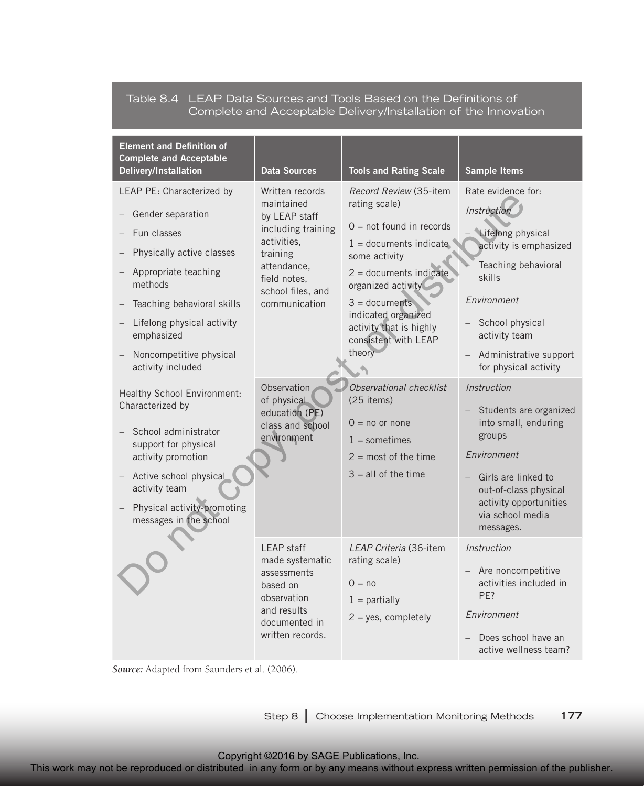#### Table 8.4 LEAP Data Sources and Tools Based on the Definitions of Complete and Acceptable Delivery/Installation of the Innovation

| <b>Element and Definition of</b><br><b>Complete and Acceptable</b><br>Delivery/Installation                                                                                                                                                                                                                                                                                                                                                                                                                                    | <b>Data Sources</b>                                                                                                                                                                                                                                     | <b>Tools and Rating Scale</b>                                                                                                                                                                                                                                                                                                                                                                                   | <b>Sample Items</b>                                                                                                                                                                                                                                                                                                                                                                                                                               |
|--------------------------------------------------------------------------------------------------------------------------------------------------------------------------------------------------------------------------------------------------------------------------------------------------------------------------------------------------------------------------------------------------------------------------------------------------------------------------------------------------------------------------------|---------------------------------------------------------------------------------------------------------------------------------------------------------------------------------------------------------------------------------------------------------|-----------------------------------------------------------------------------------------------------------------------------------------------------------------------------------------------------------------------------------------------------------------------------------------------------------------------------------------------------------------------------------------------------------------|---------------------------------------------------------------------------------------------------------------------------------------------------------------------------------------------------------------------------------------------------------------------------------------------------------------------------------------------------------------------------------------------------------------------------------------------------|
| LEAP PE: Characterized by<br>Gender separation<br>Fun classes<br>Physically active classes<br>Appropriate teaching<br>methods<br>Teaching behavioral skills<br>$\qquad \qquad -$<br>Lifelong physical activity<br>emphasized<br>Noncompetitive physical<br>activity included<br>Healthy School Environment:<br>Characterized by<br>School administrator<br>support for physical<br>activity promotion<br>Active school physical<br>$\qquad \qquad -$<br>activity team<br>Physical activity-promoting<br>messages in the school | Written records<br>maintained<br>by LEAP staff<br>including training<br>activities,<br>training<br>attendance,<br>field notes,<br>school files, and<br>communication<br>Observation<br>of physical<br>education (PE)<br>class and school<br>environment | Record Review (35-item<br>rating scale)<br>$0 = not found in records$<br>$1 =$ documents indicate.<br>some activity<br>$2 =$ documents indicate<br>organized activity<br>$3 = documents$<br>indicated organized<br>activity that is highly<br>consistent with LEAP<br>theory<br>Observational checklist<br>(25 items)<br>$0 = no$ or none<br>$1 =$ sometimes<br>$2 =$ most of the time<br>$3 =$ all of the time | Rate evidence for:<br>Instruction<br>Lifelong physical<br>activity is emphasized<br>Teaching behavioral<br>skills<br>Environment<br>- School physical<br>activity team<br>Administrative support<br>for physical activity<br><i>Instruction</i><br>Students are organized<br>into small, enduring<br>groups<br>Environment<br>$\equiv$<br>Girls are linked to<br>out-of-class physical<br>activity opportunities<br>via school media<br>messages. |
|                                                                                                                                                                                                                                                                                                                                                                                                                                                                                                                                | <b>LEAP</b> staff<br>made systematic<br>assessments<br>based on<br>observation<br>and results<br>documented in<br>written records.                                                                                                                      | LEAP Criteria (36-item<br>rating scale)<br>$0 = no$<br>$1 =$ partially<br>$2 = yes$ , completely                                                                                                                                                                                                                                                                                                                | <i>Instruction</i><br>Are noncompetitive<br>activities included in<br>PE?<br>Environment<br>- Does school have an<br>active wellness team?                                                                                                                                                                                                                                                                                                        |
| Source: Adapted from Saunders et al. (2006).                                                                                                                                                                                                                                                                                                                                                                                                                                                                                   | Step $8$                                                                                                                                                                                                                                                | Choose Implementation Monitoring Methods                                                                                                                                                                                                                                                                                                                                                                        | 177                                                                                                                                                                                                                                                                                                                                                                                                                                               |
| This work may not be reproduced or distributed in any form or by any means without express written permission of the publisher.                                                                                                                                                                                                                                                                                                                                                                                                | Copyright ©2016 by SAGE Publications, Inc.                                                                                                                                                                                                              |                                                                                                                                                                                                                                                                                                                                                                                                                 |                                                                                                                                                                                                                                                                                                                                                                                                                                                   |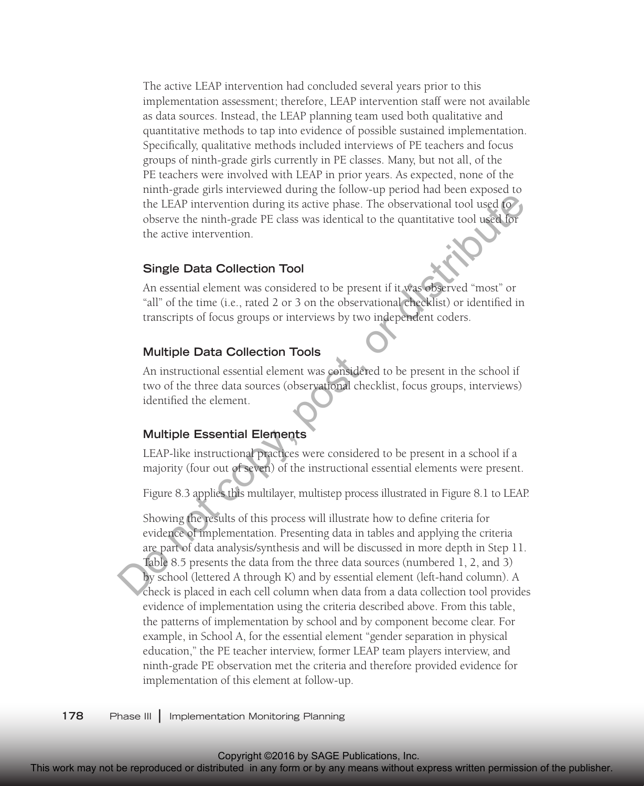The active LEAP intervention had concluded several years prior to this implementation assessment; therefore, LEAP intervention staff were not available as data sources. Instead, the LEAP planning team used both qualitative and quantitative methods to tap into evidence of possible sustained implementation. Specifically, qualitative methods included interviews of PE teachers and focus groups of ninth-grade girls currently in PE classes. Many, but not all, of the PE teachers were involved with LEAP in prior years. As expected, none of the ninth-grade girls interviewed during the follow-up period had been exposed to the LEAP intervention during its active phase. The observational tool used to observe the ninth-grade PE class was identical to the quantitative tool used for the active intervention.

#### **Single Data Collection Tool**

An essential element was considered to be present if it was observed "most" or "all" of the time (i.e., rated 2 or 3 on the observational checklist) or identified in transcripts of focus groups or interviews by two independent coders.

### **Multiple Data Collection Tools**

An instructional essential element was considered to be present in the school if two of the three data sources (observational checklist, focus groups, interviews) identified the element.

#### **Multiple Essential Elements**

LEAP-like instructional practices were considered to be present in a school if a majority (four out of seven) of the instructional essential elements were present.

Figure 8.3 applies this multilayer, multistep process illustrated in Figure 8.1 to LEAP.

Showing the results of this process will illustrate how to define criteria for evidence of implementation. Presenting data in tables and applying the criteria are part of data analysis/synthesis and will be discussed in more depth in Step 11. Table 8.5 presents the data from the three data sources (numbered 1, 2, and 3) by school (lettered A through K) and by essential element (left-hand column). A check is placed in each cell column when data from a data collection tool provides evidence of implementation using the criteria described above. From this table, the patterns of implementation by school and by component become clear. For example, in School A, for the essential element "gender separation in physical education," the PE teacher interview, former LEAP team players interview, and ninth-grade PE observation met the criteria and therefore provided evidence for implementation of this element at follow-up. The 1238 measure may not be reproduced or distributed in any form or by any means without express with the publishers of the reproduced or distributed in any means a mean of the publishers of the publishers was a mean of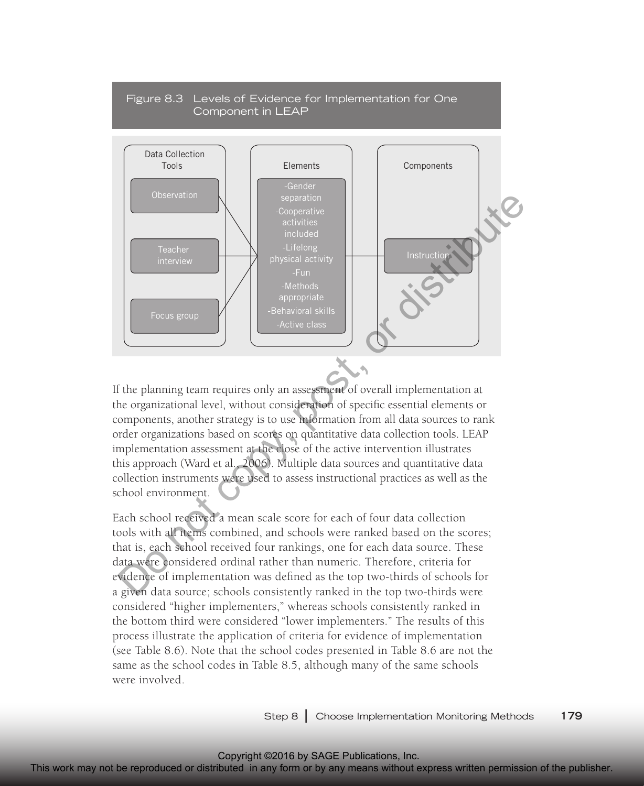#### Figure 8.3 Levels of Evidence for Implementation for One Component in LEAP



If the planning team requires only an assessment of overall implementation at the organizational level, without consideration of specific essential elements or components, another strategy is to use information from all data sources to rank order organizations based on scores on quantitative data collection tools. LEAP implementation assessment at the close of the active intervention illustrates this approach (Ward et al., 2006). Multiple data sources and quantitative data collection instruments were used to assess instructional practices as well as the school environment.

Each school received a mean scale score for each of four data collection tools with all items combined, and schools were ranked based on the scores; that is, each school received four rankings, one for each data source. These data were considered ordinal rather than numeric. Therefore, criteria for evidence of implementation was defined as the top two-thirds of schools for a given data source; schools consistently ranked in the top two-thirds were considered "higher implementers," whereas schools consistently ranked in the bottom third were considered "lower implementers." The results of this process illustrate the application of criteria for evidence of implementation (see Table 8.6). Note that the school codes presented in Table 8.6 are not the same as the school codes in Table 8.5, although many of the same schools were involved.

Step 8 **|** Choose Implementation Monitoring Methods **179**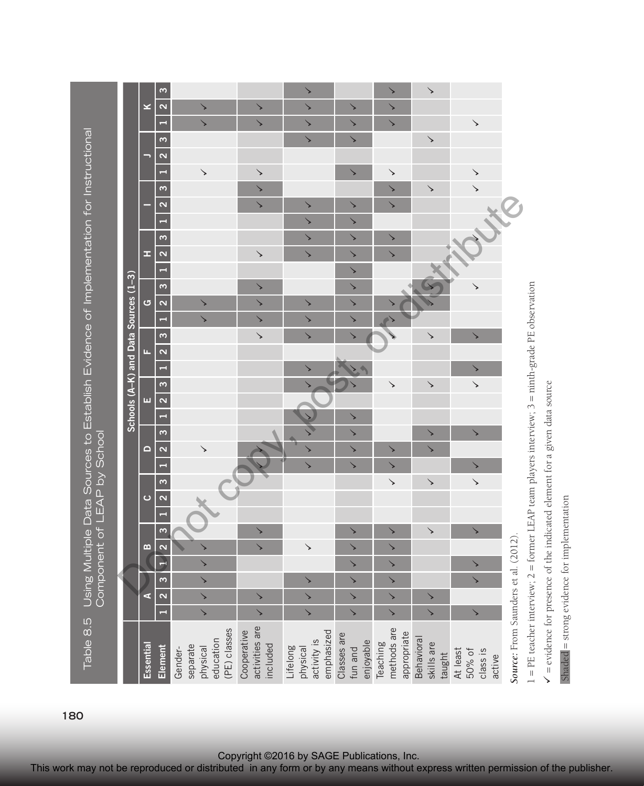|                                                                                                                 |                                      |                      | $\omega$                               |                                              |                               | $\checkmark$                               |                                          | ↘                            | ↘                                         |                                          |                                                                                                                                                                                                                                                                  |
|-----------------------------------------------------------------------------------------------------------------|--------------------------------------|----------------------|----------------------------------------|----------------------------------------------|-------------------------------|--------------------------------------------|------------------------------------------|------------------------------|-------------------------------------------|------------------------------------------|------------------------------------------------------------------------------------------------------------------------------------------------------------------------------------------------------------------------------------------------------------------|
|                                                                                                                 |                                      | $\leq$               | $\overline{\mathbf{c}}$                | ↘                                            | ↘                             | ↘                                          | ↘                                        | ↘                            |                                           |                                          |                                                                                                                                                                                                                                                                  |
|                                                                                                                 |                                      |                      | $\overline{\phantom{0}}$               | $\checkmark$                                 | $\checkmark$                  | $\checkmark$                               | ↘                                        | $\checkmark$                 |                                           | $\searrow$                               |                                                                                                                                                                                                                                                                  |
|                                                                                                                 |                                      |                      | $\infty$                               |                                              |                               | $\checkmark$                               | ↘                                        |                              | $\checkmark$                              |                                          |                                                                                                                                                                                                                                                                  |
|                                                                                                                 |                                      | ∍                    | $\overline{\mathbf{c}}$                |                                              |                               |                                            |                                          |                              |                                           |                                          |                                                                                                                                                                                                                                                                  |
|                                                                                                                 |                                      |                      | $\blacksquare$                         | ↘                                            | ↘                             |                                            | ↘                                        | ↘                            |                                           | ↘                                        |                                                                                                                                                                                                                                                                  |
|                                                                                                                 |                                      |                      | $\infty$                               |                                              | ↘                             |                                            |                                          | ↘                            | ↘                                         | ↘                                        |                                                                                                                                                                                                                                                                  |
|                                                                                                                 |                                      |                      | $\overline{\mathbf{v}}$                |                                              | $\checkmark$                  | ↘                                          | ↘                                        | ↘                            |                                           |                                          |                                                                                                                                                                                                                                                                  |
|                                                                                                                 |                                      |                      | $\overline{\phantom{0}}$               |                                              |                               | $\checkmark$                               | ↘                                        |                              |                                           |                                          |                                                                                                                                                                                                                                                                  |
|                                                                                                                 |                                      |                      | $\infty$                               |                                              |                               | ↘                                          | ↘                                        | ↘                            |                                           |                                          |                                                                                                                                                                                                                                                                  |
|                                                                                                                 |                                      | z                    | $\overline{N}$                         |                                              | ↘                             | $\checkmark$                               | $\checkmark$                             | $\checkmark$                 |                                           |                                          |                                                                                                                                                                                                                                                                  |
|                                                                                                                 |                                      |                      | $\blacksquare$                         |                                              |                               |                                            | ↘                                        |                              |                                           |                                          |                                                                                                                                                                                                                                                                  |
|                                                                                                                 |                                      |                      | $\omega$                               |                                              | ↘                             |                                            | ↘                                        |                              |                                           | ↘                                        |                                                                                                                                                                                                                                                                  |
|                                                                                                                 | Schools (A-K) and Data Sources (1-3) | G                    | $\mathbf{\tilde{z}}$<br>$\blacksquare$ | ↘<br>$\checkmark$                            | ↘                             | ↘                                          | ↘                                        |                              |                                           |                                          |                                                                                                                                                                                                                                                                  |
|                                                                                                                 |                                      |                      | $\infty$                               |                                              | ↘<br>$\checkmark$             | $\checkmark$<br>$\checkmark$               | $\checkmark$<br>$\overline{\phantom{0}}$ |                              | ↘                                         | ↘                                        |                                                                                                                                                                                                                                                                  |
|                                                                                                                 |                                      | u,                   | $\overline{a}$                         |                                              |                               |                                            |                                          |                              |                                           |                                          |                                                                                                                                                                                                                                                                  |
|                                                                                                                 |                                      |                      | Η                                      |                                              |                               | ↘                                          |                                          |                              |                                           | ↘                                        |                                                                                                                                                                                                                                                                  |
|                                                                                                                 |                                      |                      | $\overline{5}$                         |                                              |                               |                                            |                                          | ↘                            | ↘                                         | $\checkmark$                             |                                                                                                                                                                                                                                                                  |
|                                                                                                                 |                                      | ш                    | $\overline{a}$                         |                                              |                               |                                            |                                          |                              |                                           |                                          |                                                                                                                                                                                                                                                                  |
|                                                                                                                 |                                      |                      | Η                                      |                                              |                               |                                            | ↘                                        |                              |                                           |                                          |                                                                                                                                                                                                                                                                  |
|                                                                                                                 |                                      |                      | $\infty$                               |                                              |                               |                                            | ↘                                        |                              | ↘                                         | $\checkmark$                             |                                                                                                                                                                                                                                                                  |
|                                                                                                                 |                                      | $\Box$               | $\mathbf{\Omega}$                      | $\checkmark$                                 |                               | $\check{ }$                                | ↘                                        | ↘                            | ↘                                         |                                          |                                                                                                                                                                                                                                                                  |
|                                                                                                                 |                                      |                      | T,                                     |                                              |                               | $\overline{\phantom{0}}$                   | $\overline{\phantom{0}}$                 | $\checkmark$                 |                                           | ↘                                        |                                                                                                                                                                                                                                                                  |
|                                                                                                                 |                                      |                      | $\infty$                               |                                              |                               |                                            |                                          | ↘                            | ↘                                         | $\searrow$                               |                                                                                                                                                                                                                                                                  |
|                                                                                                                 |                                      | $\ddot{\mathbf{c}}$  | $\mathbf{\Omega}$                      |                                              |                               |                                            |                                          |                              |                                           |                                          |                                                                                                                                                                                                                                                                  |
|                                                                                                                 |                                      |                      | $\blacksquare$                         |                                              |                               |                                            |                                          |                              |                                           |                                          |                                                                                                                                                                                                                                                                  |
|                                                                                                                 |                                      |                      | $\infty$<br>$\overline{a}$             |                                              | ↘<br>$\overline{\phantom{0}}$ |                                            | ↘                                        | ↘                            | $\checkmark$                              | $\overline{\phantom{0}}$                 |                                                                                                                                                                                                                                                                  |
|                                                                                                                 |                                      | $\bf{m}$             |                                        | ↘                                            |                               | ↘                                          | ↘                                        | $\checkmark$                 |                                           |                                          |                                                                                                                                                                                                                                                                  |
| ng Multiple Data Sources to Establish Evidence of Implementation for Instructional<br>nponent of LEAP by School |                                      |                      | $\overline{\mathbf{r}}$<br>$\omega$    | ↘<br>$\checkmark$                            |                               | ↘                                          | ↘<br>↘                                   | $\checkmark$<br>$\checkmark$ |                                           | ↘<br>$\checkmark$                        |                                                                                                                                                                                                                                                                  |
| l<br>O<br><b>USI</b>                                                                                            |                                      | $\blacktriangleleft$ | $\mathbf{\Omega}$                      | ↘                                            | ↘                             | ↘                                          | ↘                                        | ↘                            | ↘                                         |                                          |                                                                                                                                                                                                                                                                  |
|                                                                                                                 |                                      |                      | $\overline{\phantom{0}}$               | $\checkmark$                                 |                               | ↘                                          |                                          |                              |                                           |                                          |                                                                                                                                                                                                                                                                  |
| $\frac{1}{8}$                                                                                                   |                                      |                      |                                        |                                              |                               |                                            |                                          |                              |                                           |                                          |                                                                                                                                                                                                                                                                  |
|                                                                                                                 |                                      |                      |                                        | (PE) classes                                 | activities are<br>Cooperative | emphasized                                 | Classes are                              | methods are<br>appropriate   |                                           |                                          | = PE teacher interview; 2 = former LEAP team players interview; 3 = ninth-grade PE observation<br>= evidence for presence of the indicated element for a given data source<br>Shaded = strong evidence for implementation<br>Source: From Saunders et al. (2012) |
| Table                                                                                                           |                                      | Essentia             | Element                                | education<br>separate<br>physical<br>Gender- | included                      | activity is<br>Lifelong<br>physical        | enjoyable<br>fun and                     | Teaching                     | <b>Behavioral</b><br>skills are<br>taught | At least<br>50% of<br>class is<br>active |                                                                                                                                                                                                                                                                  |
|                                                                                                                 |                                      |                      |                                        |                                              |                               |                                            |                                          |                              |                                           |                                          |                                                                                                                                                                                                                                                                  |
|                                                                                                                 |                                      |                      |                                        |                                              |                               |                                            |                                          |                              |                                           |                                          |                                                                                                                                                                                                                                                                  |
| 180                                                                                                             |                                      |                      |                                        |                                              |                               |                                            |                                          |                              |                                           |                                          |                                                                                                                                                                                                                                                                  |
|                                                                                                                 |                                      |                      |                                        |                                              |                               |                                            |                                          |                              |                                           |                                          |                                                                                                                                                                                                                                                                  |
|                                                                                                                 |                                      |                      |                                        |                                              |                               | Copyright ©2016 by SAGE Publications, Inc. |                                          |                              |                                           |                                          |                                                                                                                                                                                                                                                                  |
|                                                                                                                 |                                      |                      |                                        |                                              |                               |                                            |                                          |                              |                                           |                                          | This work may not be reproduced or distributed in any form or by any means without express written permission of the publisher.                                                                                                                                  |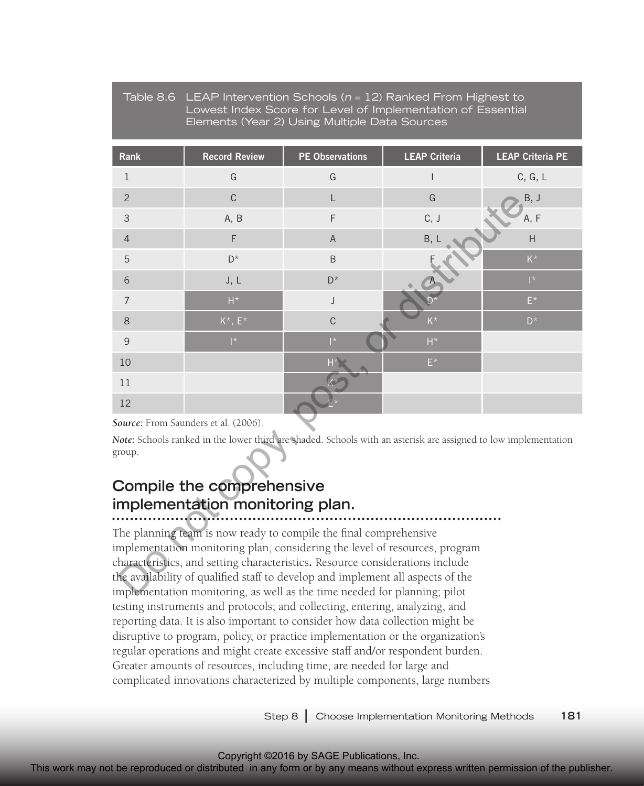## Table 8.6 LEAP Intervention Schools ( $n = 12$ ) Ranked From Highest to Lowest Index Score for Level of Implementation of Essential Elements (Year 2) Using Multiple Data Sources

| Rank                                                                                                                            | <b>Record Review</b>                                                                                                                                                                                                                                                                                                                                                                                                                                                                                                                                                                                 | <b>PE Observations</b>                     | <b>LEAP Criteria</b>                              | <b>LEAP Criteria PE</b> |
|---------------------------------------------------------------------------------------------------------------------------------|------------------------------------------------------------------------------------------------------------------------------------------------------------------------------------------------------------------------------------------------------------------------------------------------------------------------------------------------------------------------------------------------------------------------------------------------------------------------------------------------------------------------------------------------------------------------------------------------------|--------------------------------------------|---------------------------------------------------|-------------------------|
| $\mathbf 1$                                                                                                                     | G                                                                                                                                                                                                                                                                                                                                                                                                                                                                                                                                                                                                    | G                                          |                                                   | C, G, L                 |
| $\mathbf{2}$                                                                                                                    | $\mathbb C$                                                                                                                                                                                                                                                                                                                                                                                                                                                                                                                                                                                          | L                                          | G                                                 | B, J                    |
| 3                                                                                                                               | A, B                                                                                                                                                                                                                                                                                                                                                                                                                                                                                                                                                                                                 | F                                          | C, J                                              | A, F                    |
| 4                                                                                                                               | F                                                                                                                                                                                                                                                                                                                                                                                                                                                                                                                                                                                                    | $\overline{A}$                             | B, I                                              | $\mathsf{H}$            |
| 5                                                                                                                               | $D^*$                                                                                                                                                                                                                                                                                                                                                                                                                                                                                                                                                                                                | B                                          |                                                   | $\mathsf{K}^\star$      |
| 6                                                                                                                               | J, L                                                                                                                                                                                                                                                                                                                                                                                                                                                                                                                                                                                                 | $\mathsf{D}^{\star}$                       |                                                   | $\mathsf{I}^\star$      |
| $\overline{7}$                                                                                                                  | $\mathsf{H}^\star$                                                                                                                                                                                                                                                                                                                                                                                                                                                                                                                                                                                   | J                                          |                                                   | $\mathsf{E}^\star$      |
| $\,8\,$                                                                                                                         | $\mathsf{K}^{\star},\ \mathsf{E}^{\star}$                                                                                                                                                                                                                                                                                                                                                                                                                                                                                                                                                            | $\mathbb C$                                | $K^*$                                             | $D^*$                   |
| 9                                                                                                                               | $\mathsf{I}^\star$                                                                                                                                                                                                                                                                                                                                                                                                                                                                                                                                                                                   | $ ^{\star}$                                | $H^*$                                             |                         |
| 10                                                                                                                              |                                                                                                                                                                                                                                                                                                                                                                                                                                                                                                                                                                                                      | $H^s$                                      | $E^*$                                             |                         |
| 11                                                                                                                              |                                                                                                                                                                                                                                                                                                                                                                                                                                                                                                                                                                                                      |                                            |                                                   |                         |
| 12                                                                                                                              |                                                                                                                                                                                                                                                                                                                                                                                                                                                                                                                                                                                                      |                                            |                                                   |                         |
|                                                                                                                                 | implementation monitoring plan.<br>The planning team is now ready to compile the final comprehensive<br>implementation monitoring plan, considering the level of resources, program<br>characteristics, and setting characteristics. Resource considerations include<br>the availability of qualified staff to develop and implement all aspects of the<br>implementation monitoring, as well as the time needed for planning; pilot<br>testing instruments and protocols; and collecting, entering, analyzing, and<br>reporting data. It is also important to consider how data collection might be |                                            |                                                   |                         |
|                                                                                                                                 | disruptive to program, policy, or practice implementation or the organization's<br>regular operations and might create excessive staff and/or respondent burden<br>Greater amounts of resources, including time, are needed for large and<br>complicated innovations characterized by multiple components, large numbers                                                                                                                                                                                                                                                                             |                                            | Step 8   Choose Implementation Monitoring Methods | 181                     |
|                                                                                                                                 |                                                                                                                                                                                                                                                                                                                                                                                                                                                                                                                                                                                                      |                                            |                                                   |                         |
| This work may not be reproduced or distributed in any form or by any means without express written permission of the publisher. |                                                                                                                                                                                                                                                                                                                                                                                                                                                                                                                                                                                                      | Copyright ©2016 by SAGE Publications, Inc. |                                                   |                         |

# **Compile the comprehensive implementation monitoring plan.**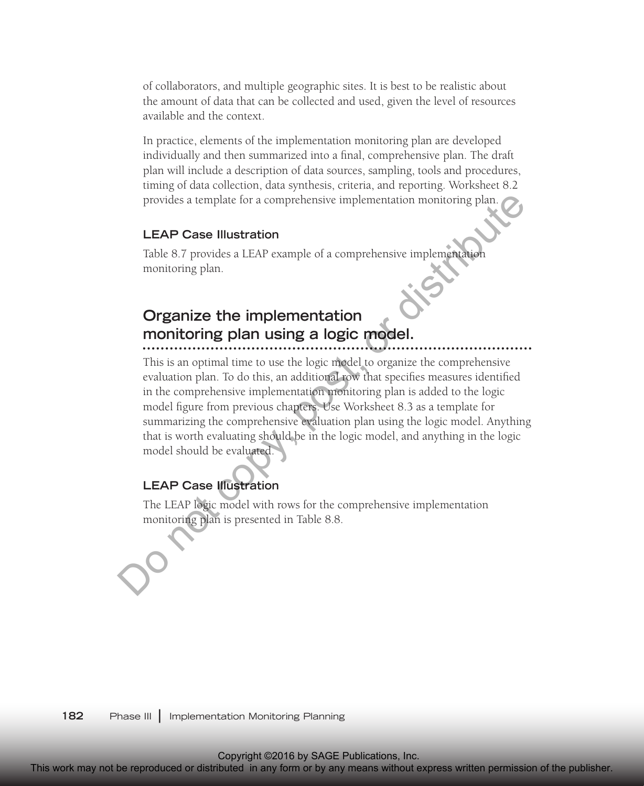of collaborators, and multiple geographic sites. It is best to be realistic about the amount of data that can be collected and used, given the level of resources available and the context.

In practice, elements of the implementation monitoring plan are developed individually and then summarized into a final, comprehensive plan. The draft plan will include a description of data sources, sampling, tools and procedures, timing of data collection, data synthesis, criteria, and reporting. Worksheet 8.2 provides a template for a comprehensive implementation monitoring plan.

## **LEAP Case Illustration**

Table 8.7 provides a LEAP example of a comprehensive implementation monitoring plan.

# **Organize the implementation monitoring plan using a logic model.**

This is an optimal time to use the logic model to organize the comprehensive evaluation plan. To do this, an additional row that specifies measures identified in the comprehensive implementation monitoring plan is added to the logic model figure from previous chapters. Use Worksheet 8.3 as a template for summarizing the comprehensive evaluation plan using the logic model. Anything that is worth evaluating should be in the logic model, and anything in the logic model should be evaluated. provides a template for a comprehensive implementation monitoring plan.<br>
This is a motionical ELN cosmole of a comprehensive implementation<br>
monitoring plan.<br> **Organize the implementation**<br> **Consequence the publisher comp** 

## **LEAP Case Illustration**

The LEAP logic model with rows for the comprehensive implementation monitoring plan is presented in Table 8.8.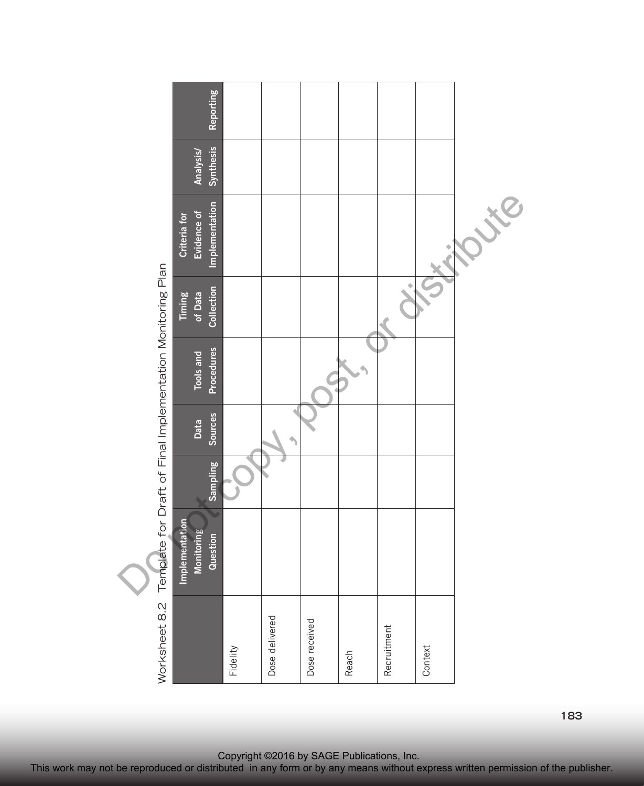|                                                            | <b>Reporting</b>                              |          |                |               |       |                                            |         |                                                                                                                                 |
|------------------------------------------------------------|-----------------------------------------------|----------|----------------|---------------|-------|--------------------------------------------|---------|---------------------------------------------------------------------------------------------------------------------------------|
|                                                            | Synthesis<br>Analysis/                        |          |                |               |       |                                            |         |                                                                                                                                 |
|                                                            | Implementation<br>Evidence of<br>Criteria for |          |                |               |       |                                            |         | JE                                                                                                                              |
|                                                            | Collection<br>of Data<br><b>Timing</b>        |          |                |               |       |                                            |         |                                                                                                                                 |
|                                                            | Procedures<br>Tools and                       |          |                |               |       |                                            |         |                                                                                                                                 |
|                                                            | <b>Sources</b><br>Data                        |          | ٠              |               |       |                                            |         |                                                                                                                                 |
|                                                            | <b>Sampling</b>                               |          |                |               |       |                                            |         |                                                                                                                                 |
| Template for Draft of Final Implementation Monitoring Plan | Implementation<br>Monitoring<br>Question      |          |                |               |       |                                            |         |                                                                                                                                 |
| Worksheet 8.2                                              |                                               | Fidelity | Dose delivered | Dose received | Reach | Recruitment                                | Context |                                                                                                                                 |
|                                                            |                                               |          |                |               |       |                                            |         | 183                                                                                                                             |
|                                                            |                                               |          |                |               |       | Copyright ©2016 by SAGE Publications, Inc. |         | This work may not be reproduced or distributed in any form or by any means without express written permission of the publisher. |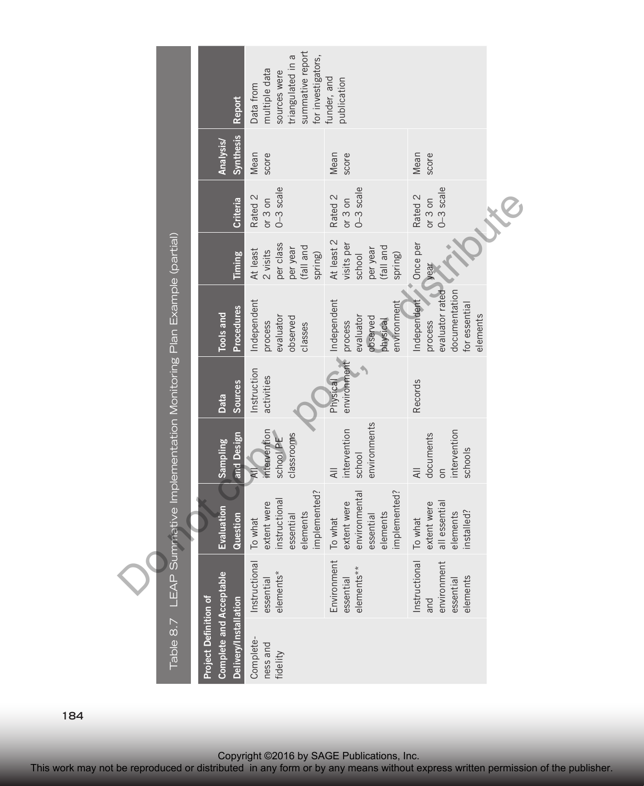|                                                                                                                                 | Report                                                                                  | summative report<br>triangulated in a<br>for investigators,<br>multiple data<br>sources were<br>Data from | funder, and<br>publication                                                       |                                                                                         |  |
|---------------------------------------------------------------------------------------------------------------------------------|-----------------------------------------------------------------------------------------|-----------------------------------------------------------------------------------------------------------|----------------------------------------------------------------------------------|-----------------------------------------------------------------------------------------|--|
|                                                                                                                                 | Synthesis<br>Analysis/                                                                  | Mean<br>score                                                                                             | Mean<br>score                                                                    | Mean<br>score                                                                           |  |
|                                                                                                                                 | Criteria                                                                                | or $3$ on<br>$0-3$ scale<br>Rated 2                                                                       | or $3$ on<br>$0-3$ scale<br>Rated 2                                              | $0-3$ scale<br>Rated 2<br>or 3 on                                                       |  |
|                                                                                                                                 | <b>Timing</b>                                                                           | per class<br>bue llet)<br>per year<br>At least<br>2 visits<br>spring)                                     | At least 2<br>visits per<br>(fall and<br>per year<br>spring)<br>school           | Once per<br>year                                                                        |  |
|                                                                                                                                 | Procedures<br>Tools and                                                                 | Independent<br>evaluator<br>observed<br>process<br>classes                                                | Independent<br>environment<br>evaluator<br>observed<br>physical<br>process       | documentation<br>evaluator rated<br>Independent<br>for essential<br>elements<br>process |  |
|                                                                                                                                 | <b>Sources</b><br>Data                                                                  | Instruction<br>activities                                                                                 | environment<br>Physical                                                          | Records                                                                                 |  |
|                                                                                                                                 | and Design<br>Sampling                                                                  | intervention<br>classrooms<br>school PE<br>E                                                              | environments<br>intervention<br>school<br>$\overline{4}$                         | intervention<br>documents<br>schools<br>δ<br>$\equiv$                                   |  |
| Summative Implementation Monitoring Plan Example (partial)                                                                      | Evaluation<br>Question                                                                  | implemented?<br>instructional<br>extent were<br>elements<br>essential<br>To what                          | implemented?<br>environmental<br>extent were<br>elements<br>essential<br>To what | all essential<br>extent were<br>installed?<br>elements<br>To what                       |  |
| LEAP                                                                                                                            |                                                                                         | Instructional<br>elements*<br>essential                                                                   | Environment<br>elements**<br>essential                                           | environment<br>Instructional<br>elements<br>essential<br>and                            |  |
| Table 8.7                                                                                                                       | Complete and Acceptable<br><b>Project Definition of</b><br><b>Delivery/Installation</b> | Complete-<br>ness and<br>fidelity                                                                         |                                                                                  |                                                                                         |  |
| 184                                                                                                                             |                                                                                         |                                                                                                           |                                                                                  |                                                                                         |  |
|                                                                                                                                 |                                                                                         |                                                                                                           |                                                                                  |                                                                                         |  |
| This work may not be reproduced or distributed in any form or by any means without express written permission of the publisher. |                                                                                         |                                                                                                           | Copyright ©2016 by SAGE Publications, Inc.                                       |                                                                                         |  |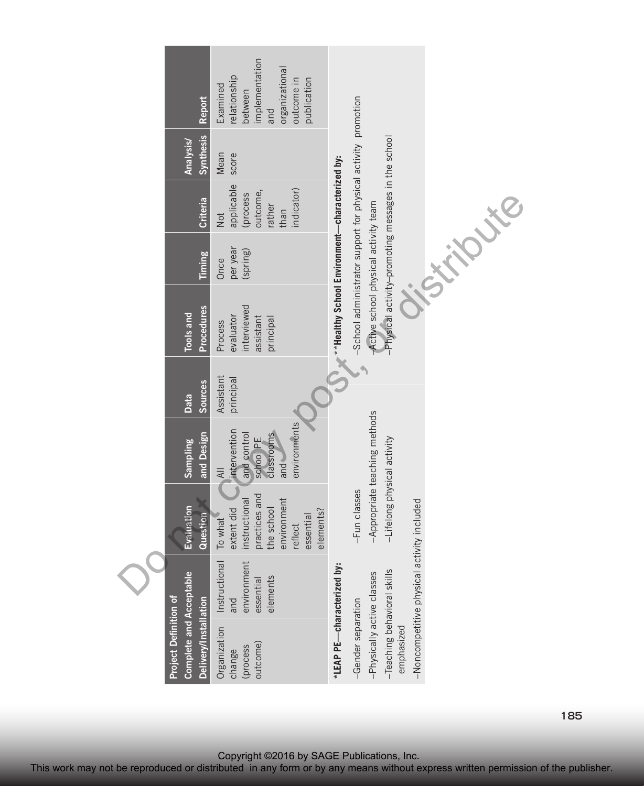| <b>Report</b><br><b>Synthesis</b><br><b>Analysis/</b><br>Criteria<br>Timing<br>Procedures<br>Tools and<br><b>Sources</b><br>Data<br>and Design<br><b>Sampling</b><br>Evaluation<br>Question | implementation<br>organizational<br>relationship<br>publication<br>outcome in<br>Examined<br>between<br>and<br>Mean<br>score<br>applicable<br>indicator)<br>outcome,<br>(process<br>rather<br>than<br>Not<br>per year<br>(spring)<br>Once<br>interviewed<br>evaluator<br>assistant<br>principal<br>Process<br>Assistant<br>principal<br>environments<br>intervention<br><b>classrooms</b><br>and control<br>school PE<br>and<br>$\overline{4}$<br>practices and<br>environment<br>instructional<br>the school<br>extent did<br>elements?<br>To what<br>essential<br>reflect<br>environment<br>Instructional<br>elements<br>essential<br>and | $*$ *Healthy School Environment—characterized by: | School administrator support for physical activity promotion<br>Physical activity-promoting messages in the school<br>Active school physical activity team<br>-Appropriate teaching methods<br>-Lifelong physical activity<br>-Fun classes<br>-Noncompetitive physical activity included |     |
|---------------------------------------------------------------------------------------------------------------------------------------------------------------------------------------------|---------------------------------------------------------------------------------------------------------------------------------------------------------------------------------------------------------------------------------------------------------------------------------------------------------------------------------------------------------------------------------------------------------------------------------------------------------------------------------------------------------------------------------------------------------------------------------------------------------------------------------------------|---------------------------------------------------|------------------------------------------------------------------------------------------------------------------------------------------------------------------------------------------------------------------------------------------------------------------------------------------|-----|
| <b>Complete and Acceptable</b><br><b>Project Definition of</b><br>Delivery/Installation                                                                                                     | Organization<br>outcome)<br>(process<br>change                                                                                                                                                                                                                                                                                                                                                                                                                                                                                                                                                                                              | *LEAP PE-characterized by:                        | -Teaching behavioral skills<br>-Physically active classes<br>-Gender separation<br>emphasized                                                                                                                                                                                            |     |
|                                                                                                                                                                                             |                                                                                                                                                                                                                                                                                                                                                                                                                                                                                                                                                                                                                                             |                                                   |                                                                                                                                                                                                                                                                                          | 185 |
| This work may not be reproduced or distributed in any form or by any means without express written permission of the publisher.                                                             | Copyright ©2016 by SAGE Publications, Inc.                                                                                                                                                                                                                                                                                                                                                                                                                                                                                                                                                                                                  |                                                   |                                                                                                                                                                                                                                                                                          |     |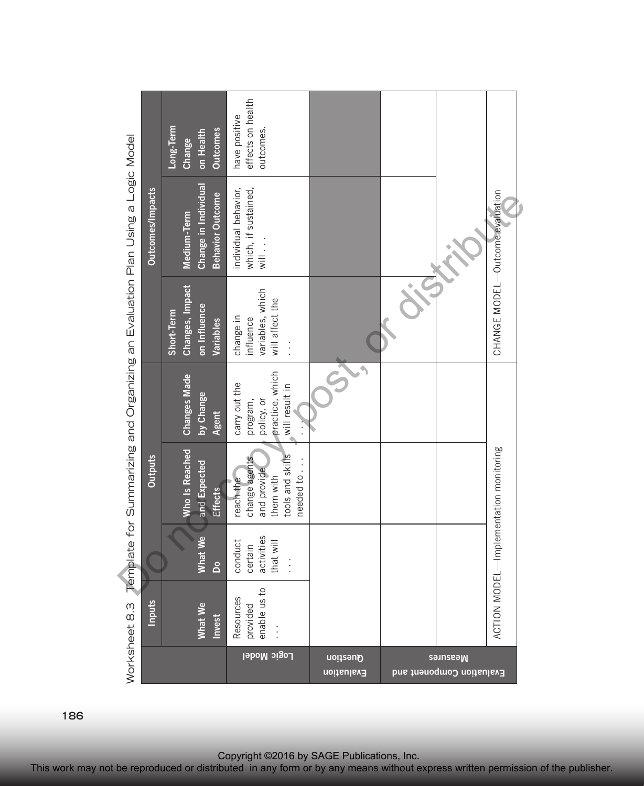|                                                                                                                                                                               |                  | Long-Term<br><b>Outcomes</b><br>on Health<br>Change            | effects on health<br>have positive<br>outcomes.                                         |                               |   |                                      |                                        |  |
|-------------------------------------------------------------------------------------------------------------------------------------------------------------------------------|------------------|----------------------------------------------------------------|-----------------------------------------------------------------------------------------|-------------------------------|---|--------------------------------------|----------------------------------------|--|
| Template for Summarizing and Organizing an Evaluation Plan Using a Logic Model                                                                                                | Outcomes/Impacts | Change in Individual<br><b>Behavior Outcome</b><br>Medium-Term | individual behavior,<br>which, if sustained,<br>$will \ldots$                           |                               |   |                                      | CHANGE MODEL-Outcome.evaluation        |  |
|                                                                                                                                                                               |                  | Changes, Impact<br>on Influence<br>Short-Term<br>Variables     | variables, which<br>will affect the<br>change in<br>influence<br>ł                      |                               | ۰ |                                      |                                        |  |
|                                                                                                                                                                               |                  | <b>Changes Made</b><br>by Change<br>Agent                      | practice, which<br>carry out the<br>will result in<br>policy, or<br>program,            |                               |   |                                      |                                        |  |
|                                                                                                                                                                               | <b>Outputs</b>   | Who Is Reached<br>and Expected<br><b>Effects</b>               | tools and skills<br>change agents<br>needed to<br>and provide<br>them with<br>reach the |                               |   |                                      | ACTION MODEL-Implementation monitoring |  |
|                                                                                                                                                                               |                  | What We<br>å                                                   | activities<br>that will<br>conduct<br>certain<br>Ĩ.                                     |                               |   |                                      |                                        |  |
| Worksheet 8.3                                                                                                                                                                 | Inputs           | <b>Mhat We</b><br>Invest                                       | $\overline{c}$<br>Resources<br>enable us<br>provided                                    |                               |   |                                      |                                        |  |
|                                                                                                                                                                               |                  |                                                                | Logic Model                                                                             | Question<br><b>Evaluation</b> |   | Measures<br>Evaluation Component and |                                        |  |
| 186                                                                                                                                                                           |                  |                                                                |                                                                                         |                               |   |                                      |                                        |  |
|                                                                                                                                                                               |                  |                                                                |                                                                                         |                               |   |                                      |                                        |  |
| Copyright ©2016 by SAGE Publications, Inc.<br>This work may not be reproduced or distributed in any form or by any means without express written permission of the publisher. |                  |                                                                |                                                                                         |                               |   |                                      |                                        |  |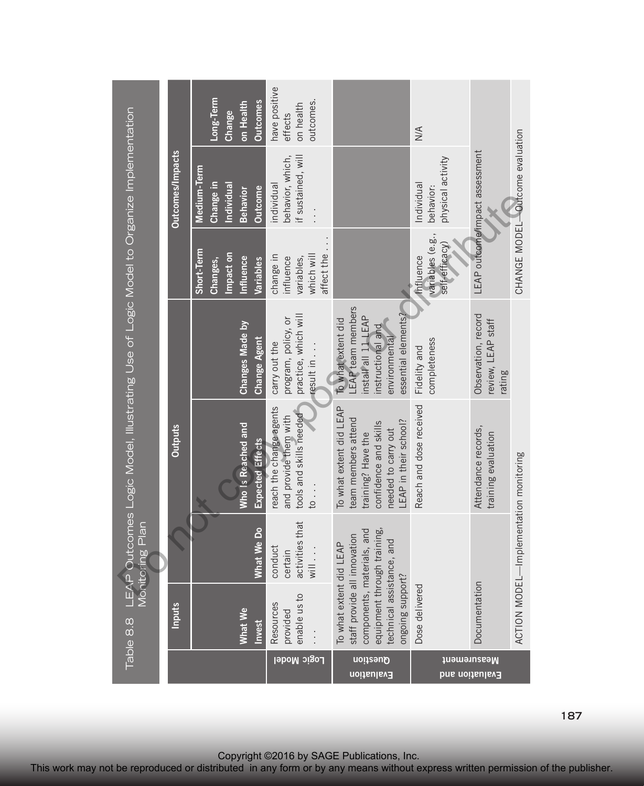|                                                                                                                                                                               |               |                  | Long-Term<br>Change                    | <b>Outcomes</b><br>on Health           | have positive<br>outcomes.<br>on health<br>effects                                |                                                                                                                                               | N/A                                            |                                                     |                              |     |
|-------------------------------------------------------------------------------------------------------------------------------------------------------------------------------|---------------|------------------|----------------------------------------|----------------------------------------|-----------------------------------------------------------------------------------|-----------------------------------------------------------------------------------------------------------------------------------------------|------------------------------------------------|-----------------------------------------------------|------------------------------|-----|
|                                                                                                                                                                               |               | Outcomes/Impacts | Medium-Term<br>Change in<br>Individual | Outcome<br><b>Behavior</b>             | if sustained, will<br>behavior, which,<br>individual                              |                                                                                                                                               | physical activity<br>Individual<br>behavior:   | LEAP outcome/impact assessment                      | Outcome evaluation           |     |
|                                                                                                                                                                               |               |                  | Short-Term<br>Impact on<br>Changes,    | Influence<br>Variables                 | affect the.<br>change in<br>which will<br>variables,<br>influence                 |                                                                                                                                               | variables (e.g.<br>self-efficacy)<br>Influence |                                                     | CHANGE MODEL                 |     |
|                                                                                                                                                                               |               |                  |                                        | Changes Made by<br><b>Change Agent</b> | practice, which will<br>program, policy, or<br>carry out the<br>esult in          | LEAP team members<br>install all 11 LEAP<br>essential elements<br>To what extent did<br>instructional and<br>environmental                    | completeness<br>Fidelity and                   | Observation, record<br>review, LEAP staff<br>rating |                              |     |
| AP Outcomes Logic Model, Illustrating Use of Logic Model to Organize Implementation                                                                                           |               | <b>Outputs</b>   |                                        | Who Is Reached and<br>Expected Effects | reach the change agents<br>tools and skills needed<br>and provide them with<br>to | To what extent did LEAP<br>team members attend<br>LEAP in their school?<br>confidence and skills<br>needed to carry out<br>training? Have the | Reach and dose received                        | Attendance records,<br>training evaluation          |                              |     |
|                                                                                                                                                                               | nitoring Plan |                  |                                        | What We Do                             | activities that<br>conduct<br>certain<br>$\frac{1}{2}$ .                          | materials, and<br>all innovation<br>istance, and<br>it did LEAP                                                                               |                                                |                                                     | EL-Implementation monitoring |     |
| $\frac{\infty}{\infty}$<br>Table <sup>1</sup>                                                                                                                                 | 山<br>S        | Inputs           |                                        | What We<br><b>Invest</b>               | enable us to<br>Resources<br>provided                                             | equipment through training,<br>ongoing support?<br>technical ass<br>To what exter<br>staff provide<br>components,                             | Dose delivered                                 | Documentation                                       | ACTION MOD                   |     |
|                                                                                                                                                                               |               |                  |                                        |                                        | Logic Model                                                                       | Question<br>Evaluation                                                                                                                        | Measurement<br>Evaluation and                  |                                                     |                              |     |
|                                                                                                                                                                               |               |                  |                                        |                                        |                                                                                   |                                                                                                                                               |                                                |                                                     |                              | 187 |
| Copyright ©2016 by SAGE Publications, Inc.<br>This work may not be reproduced or distributed in any form or by any means without express written permission of the publisher. |               |                  |                                        |                                        |                                                                                   |                                                                                                                                               |                                                |                                                     |                              |     |